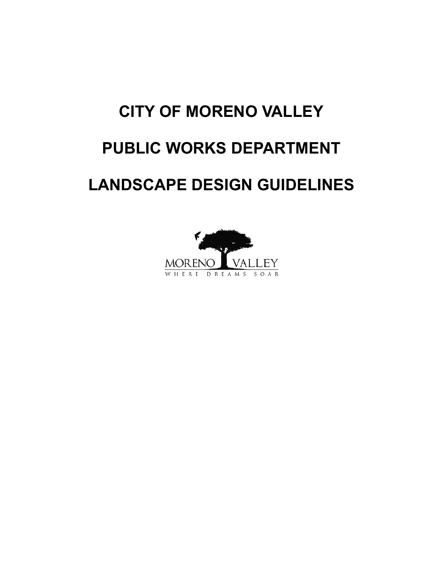# **CITY OF MORENO VALLEY**

# **PUBLIC WORKS DEPARTMENT**

# **LANDSCAPE DESIGN GUIDELINES**

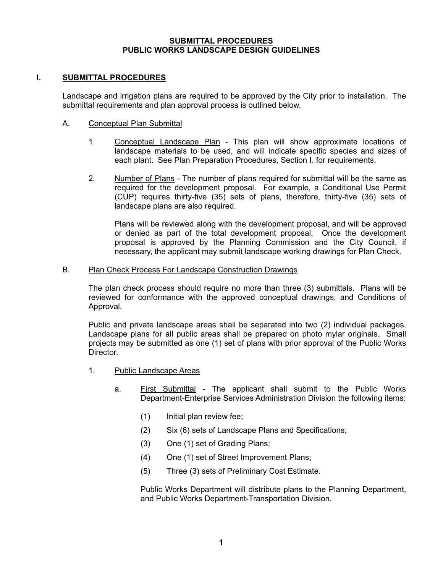#### **SUBMITTAL PROCEDURES PUBLIC WORKS LANDSCAPE DESIGN GUIDELINES**

### **I. SUBMITTAL PROCEDURES**

 Landscape and irrigation plans are required to be approved by the City prior to installation. The submittal requirements and plan approval process is outlined below.

#### A. Conceptual Plan Submittal

- 1. Conceptual Landscape Plan This plan will show approximate locations of landscape materials to be used, and will indicate specific species and sizes of each plant. See Plan Preparation Procedures, Section I. for requirements.
- 2. Number of Plans The number of plans required for submittal will be the same as required for the development proposal. For example, a Conditional Use Permit (CUP) requires thirty-five (35) sets of plans, therefore, thirty-five (35) sets of landscape plans are also required.

 Plans will be reviewed along with the development proposal, and will be approved or denied as part of the total development proposal. Once the development proposal is approved by the Planning Commission and the City Council, if necessary, the applicant may submit landscape working drawings for Plan Check.

#### B. Plan Check Process For Landscape Construction Drawings

 The plan check process should require no more than three (3) submittals. Plans will be reviewed for conformance with the approved conceptual drawings, and Conditions of Approval.

 Public and private landscape areas shall be separated into two (2) individual packages. Landscape plans for all public areas shall be prepared on photo mylar originals. Small projects may be submitted as one (1) set of plans with prior approval of the Public Works Director.

- 1. Public Landscape Areas
	- a. First Submittal The applicant shall submit to the Public Works Department-Enterprise Services Administration Division the following items:
		- (1) Initial plan review fee;
		- (2) Six (6) sets of Landscape Plans and Specifications;
		- (3) One (1) set of Grading Plans;
		- (4) One (1) set of Street Improvement Plans;
		- (5) Three (3) sets of Preliminary Cost Estimate.

 Public Works Department will distribute plans to the Planning Department, and Public Works Department-Transportation Division.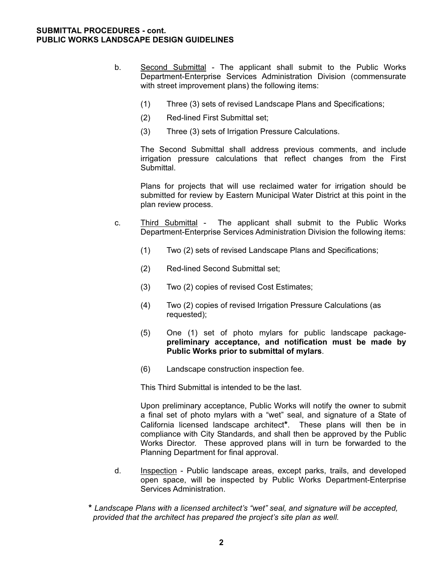#### **SUBMITTAL PROCEDURES - cont. PUBLIC WORKS LANDSCAPE DESIGN GUIDELINES**

- b. Second Submittal The applicant shall submit to the Public Works Department-Enterprise Services Administration Division (commensurate with street improvement plans) the following items:
	- (1) Three (3) sets of revised Landscape Plans and Specifications;
	- (2) Red-lined First Submittal set;
	- (3) Three (3) sets of Irrigation Pressure Calculations.

 The Second Submittal shall address previous comments, and include irrigation pressure calculations that reflect changes from the First Submittal.

 Plans for projects that will use reclaimed water for irrigation should be submitted for review by Eastern Municipal Water District at this point in the plan review process.

- c. Third Submittal The applicant shall submit to the Public Works Department-Enterprise Services Administration Division the following items:
	- (1) Two (2) sets of revised Landscape Plans and Specifications;
	- (2) Red-lined Second Submittal set;
	- (3) Two (2) copies of revised Cost Estimates;
	- (4) Two (2) copies of revised Irrigation Pressure Calculations (as requested);
	- (5) One (1) set of photo mylars for public landscape package **preliminary acceptance, and notification must be made by Public Works prior to submittal of mylars**.
	- (6) Landscape construction inspection fee.

This Third Submittal is intended to be the last.

 Upon preliminary acceptance, Public Works will notify the owner to submit a final set of photo mylars with a "wet" seal, and signature of a State of California licensed landscape architect**\***. These plans will then be in compliance with City Standards, and shall then be approved by the Public Works Director. These approved plans will in turn be forwarded to the Planning Department for final approval.

- d. Inspection Public landscape areas, except parks, trails, and developed open space, will be inspected by Public Works Department-Enterprise Services Administration.
- **\*** *Landscape Plans with a licensed architect's "wet" seal, and signature will be accepted, provided that the architect has prepared the project's site plan as well.*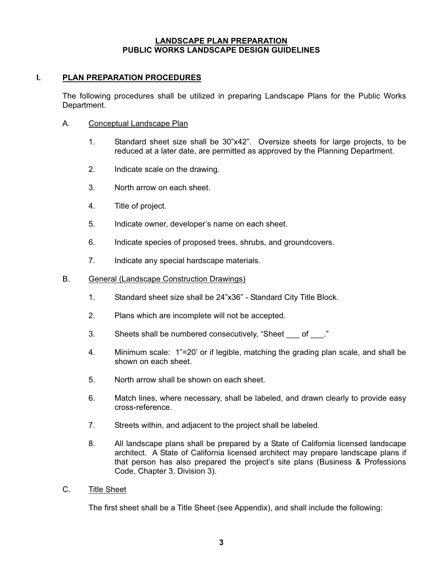# **I. PLAN PREPARATION PROCEDURES**

 The following procedures shall be utilized in preparing Landscape Plans for the Public Works Department.

#### A. Conceptual Landscape Plan

- 1. Standard sheet size shall be 30"x42". Oversize sheets for large projects, to be reduced at a later date, are permitted as approved by the Planning Department.
- 2. Indicate scale on the drawing.
- 3. North arrow on each sheet.
- 4. Title of project.
- 5. Indicate owner, developer's name on each sheet.
- 6. Indicate species of proposed trees, shrubs, and groundcovers.
- 7. Indicate any special hardscape materials.

#### B. General (Landscape Construction Drawings)

- 1. Standard sheet size shall be 24"x36" Standard City Title Block.
- 2. Plans which are incomplete will not be accepted.
- 3. Sheets shall be numbered consecutively, "Sheet of ."
- 4. Minimum scale: 1"=20' or if legible, matching the grading plan scale, and shall be shown on each sheet.
- 5. North arrow shall be shown on each sheet.
- 6. Match lines, where necessary, shall be labeled, and drawn clearly to provide easy cross-reference.
- 7. Streets within, and adjacent to the project shall be labeled.
- 8. All landscape plans shall be prepared by a State of California licensed landscape architect. A State of California licensed architect may prepare landscape plans if that person has also prepared the project's site plans (Business & Professions Code, Chapter 3, Division 3).

#### C. Title Sheet

The first sheet shall be a Title Sheet (see Appendix), and shall include the following: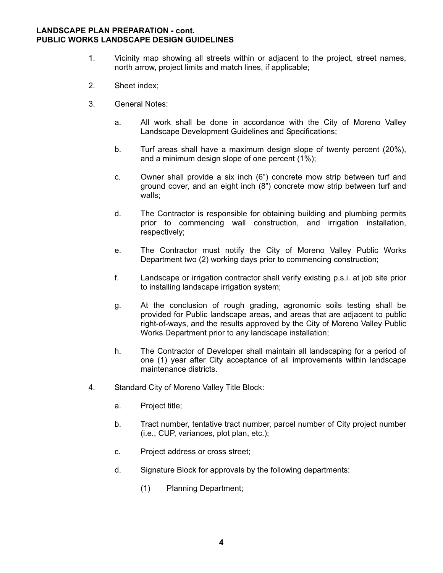- 1. Vicinity map showing all streets within or adjacent to the project, street names, north arrow, project limits and match lines, if applicable;
- 2. Sheet index;
- 3. General Notes:
	- a. All work shall be done in accordance with the City of Moreno Valley Landscape Development Guidelines and Specifications;
	- b. Turf areas shall have a maximum design slope of twenty percent (20%), and a minimum design slope of one percent (1%);
	- c. Owner shall provide a six inch (6") concrete mow strip between turf and ground cover, and an eight inch (8") concrete mow strip between turf and walls;
	- d. The Contractor is responsible for obtaining building and plumbing permits prior to commencing wall construction, and irrigation installation, respectively;
	- e. The Contractor must notify the City of Moreno Valley Public Works Department two (2) working days prior to commencing construction;
	- f. Landscape or irrigation contractor shall verify existing p.s.i. at job site prior to installing landscape irrigation system;
	- g. At the conclusion of rough grading, agronomic soils testing shall be provided for Public landscape areas, and areas that are adjacent to public right-of-ways, and the results approved by the City of Moreno Valley Public Works Department prior to any landscape installation;
	- h. The Contractor of Developer shall maintain all landscaping for a period of one (1) year after City acceptance of all improvements within landscape maintenance districts.
- 4. Standard City of Moreno Valley Title Block:
	- a. Project title;
	- b. Tract number, tentative tract number, parcel number of City project number (i.e., CUP, variances, plot plan, etc.);
	- c. Project address or cross street;
	- d. Signature Block for approvals by the following departments:
		- (1) Planning Department;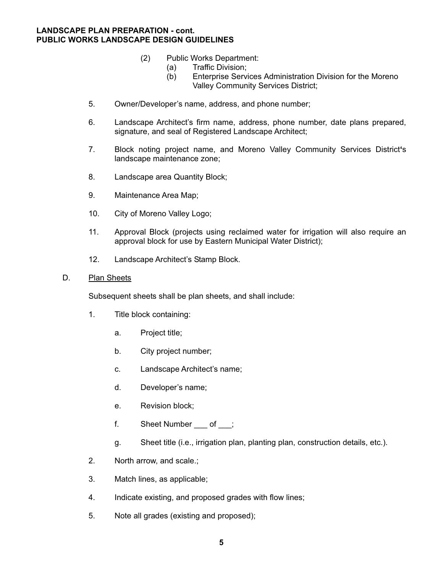- (2) Public Works Department:
	- (a) Traffic Division;
	- (b) Enterprise Services Administration Division for the Moreno Valley Community Services District;
- 5. Owner/Developer's name, address, and phone number;
- 6. Landscape Architect's firm name, address, phone number, date plans prepared, signature, and seal of Registered Landscape Architect;
- 7. Block noting project name, and Moreno Valley Community Services District**'**s landscape maintenance zone;
- 8. Landscape area Quantity Block;
- 9. Maintenance Area Map;
- 10. City of Moreno Valley Logo;
- 11. Approval Block (projects using reclaimed water for irrigation will also require an approval block for use by Eastern Municipal Water District);
- 12. Landscape Architect's Stamp Block.

#### D. Plan Sheets

Subsequent sheets shall be plan sheets, and shall include:

- 1. Title block containing:
	- a. Project title;
	- b. City project number;
	- c. Landscape Architect's name;
	- d. Developer's name;
	- e. Revision block;
	- f. Sheet Number of ;
	- g. Sheet title (i.e., irrigation plan, planting plan, construction details, etc.).
- 2. North arrow, and scale.;
- 3. Match lines, as applicable;
- 4. Indicate existing, and proposed grades with flow lines;
- 5. Note all grades (existing and proposed);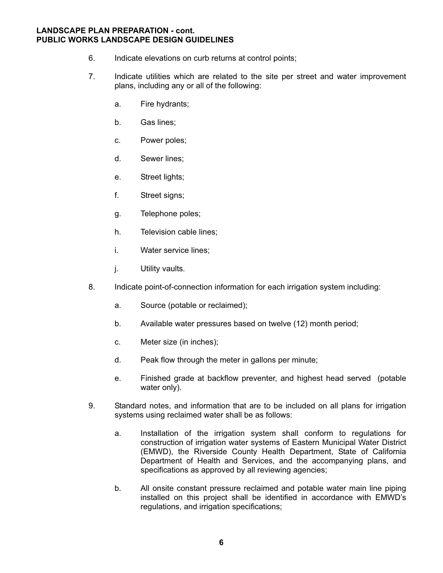- 6. Indicate elevations on curb returns at control points;
- 7. Indicate utilities which are related to the site per street and water improvement plans, including any or all of the following:
	- a. Fire hydrants;
	- b. Gas lines;
	- c. Power poles;
	- d. Sewer lines;
	- e. Street lights;
	- f. Street signs;
	- g. Telephone poles;
	- h. Television cable lines;
	- i. Water service lines;
	- j. Utility vaults.
- 8. Indicate point-of-connection information for each irrigation system including:
	- a. Source (potable or reclaimed);
	- b. Available water pressures based on twelve (12) month period;
	- c. Meter size (in inches);
	- d. Peak flow through the meter in gallons per minute;
	- e. Finished grade at backflow preventer, and highest head served (potable water only).
- 9. Standard notes, and information that are to be included on all plans for irrigation systems using reclaimed water shall be as follows:
	- a. Installation of the irrigation system shall conform to regulations for construction of irrigation water systems of Eastern Municipal Water District (EMWD), the Riverside County Health Department, State of California Department of Health and Services, and the accompanying plans, and specifications as approved by all reviewing agencies;
	- b. All onsite constant pressure reclaimed and potable water main line piping installed on this project shall be identified in accordance with EMWD's regulations, and irrigation specifications;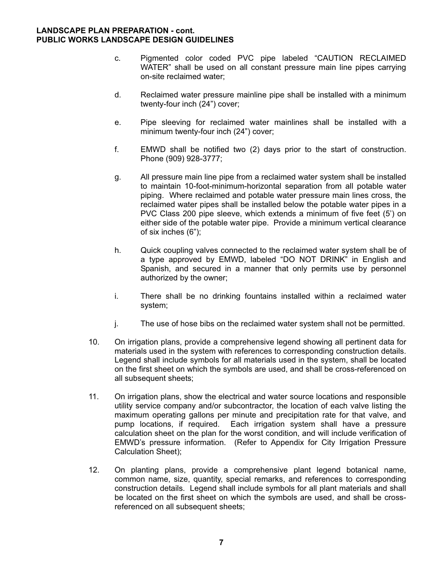- c. Pigmented color coded PVC pipe labeled "CAUTION RECLAIMED WATER" shall be used on all constant pressure main line pipes carrying on-site reclaimed water;
- d. Reclaimed water pressure mainline pipe shall be installed with a minimum twenty-four inch (24") cover;
- e. Pipe sleeving for reclaimed water mainlines shall be installed with a minimum twenty-four inch (24") cover;
- f. EMWD shall be notified two (2) days prior to the start of construction. Phone (909) 928-3777;
- g. All pressure main line pipe from a reclaimed water system shall be installed to maintain 10-foot-minimum-horizontal separation from all potable water piping. Where reclaimed and potable water pressure main lines cross, the reclaimed water pipes shall be installed below the potable water pipes in a PVC Class 200 pipe sleeve, which extends a minimum of five feet (5') on either side of the potable water pipe. Provide a minimum vertical clearance of six inches (6");
- h. Quick coupling valves connected to the reclaimed water system shall be of a type approved by EMWD, labeled "DO NOT DRINK" in English and Spanish, and secured in a manner that only permits use by personnel authorized by the owner;
- i. There shall be no drinking fountains installed within a reclaimed water system;
- j. The use of hose bibs on the reclaimed water system shall not be permitted.
- 10. On irrigation plans, provide a comprehensive legend showing all pertinent data for materials used in the system with references to corresponding construction details. Legend shall include symbols for all materials used in the system, shall be located on the first sheet on which the symbols are used, and shall be cross-referenced on all subsequent sheets;
- 11. On irrigation plans, show the electrical and water source locations and responsible utility service company and/or subcontractor, the location of each valve listing the maximum operating gallons per minute and precipitation rate for that valve, and pump locations, if required. Each irrigation system shall have a pressure calculation sheet on the plan for the worst condition, and will include verification of EMWD's pressure information. (Refer to Appendix for City Irrigation Pressure Calculation Sheet);
- 12. On planting plans, provide a comprehensive plant legend botanical name, common name, size, quantity, special remarks, and references to corresponding construction details. Legend shall include symbols for all plant materials and shall be located on the first sheet on which the symbols are used, and shall be cross referenced on all subsequent sheets;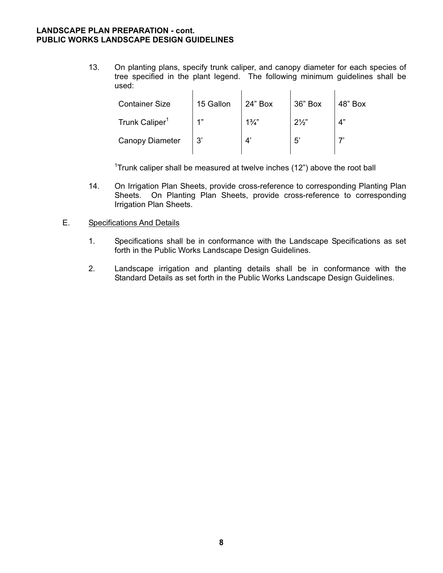13. On planting plans, specify trunk caliper, and canopy diameter for each species of tree specified in the plant legend. The following minimum guidelines shall be used:  $\mathbf{r}$  $\mathcal{A}^{\mathcal{A}}$  $\mathcal{L}_{\mathrm{max}}$  $\mathbf{r}$ 

| <b>Container Size</b>      | 15 Gallon | 24" Box        | 36" Box        | 48" Box |
|----------------------------|-----------|----------------|----------------|---------|
| Trunk Caliper <sup>1</sup> | 1"        | $1\frac{3}{4}$ | $2\frac{1}{2}$ | 4"      |
| <b>Canopy Diameter</b>     | 3'        |                | $5^{\circ}$    |         |

 $\sim$  1 <sup>1</sup>Trunk caliper shall be measured at twelve inches  $(12<sup>n</sup>)$  above the root ball

> 14. On Irrigation Plan Sheets, provide cross-reference to corresponding Planting Plan Sheets. On Planting Plan Sheets, provide cross-reference to corresponding Irrigation Plan Sheets.

# E. Specifications And Details

- 1. Specifications shall be in conformance with the Landscape Specifications as set forth in the Public Works Landscape Design Guidelines.
- 2. Landscape irrigation and planting details shall be in conformance with the Standard Details as set forth in the Public Works Landscape Design Guidelines.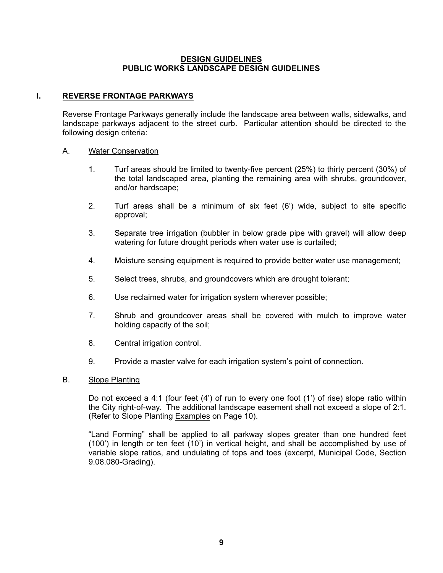#### **I. REVERSE FRONTAGE PARKWAYS**

 Reverse Frontage Parkways generally include the landscape area between walls, sidewalks, and landscape parkways adjacent to the street curb. Particular attention should be directed to the following design criteria:

#### A. Water Conservation

- 1. Turf areas should be limited to twenty-five percent (25%) to thirty percent (30%) of the total landscaped area, planting the remaining area with shrubs, groundcover, and/or hardscape;
- 2. Turf areas shall be a minimum of six feet (6') wide, subject to site specific approval;
- 3. Separate tree irrigation (bubbler in below grade pipe with gravel) will allow deep watering for future drought periods when water use is curtailed;
- 4. Moisture sensing equipment is required to provide better water use management;
- 5. Select trees, shrubs, and groundcovers which are drought tolerant;
- 6. Use reclaimed water for irrigation system wherever possible;
- 7. Shrub and groundcover areas shall be covered with mulch to improve water holding capacity of the soil;
- 8. Central irrigation control.
- 9. Provide a master valve for each irrigation system's point of connection.

#### B. Slope Planting

 Do not exceed a 4:1 (four feet (4') of run to every one foot (1') of rise) slope ratio within the City right-of-way. The additional landscape easement shall not exceed a slope of 2:1. (Refer to Slope Planting Examples on Page 10).

 "Land Forming" shall be applied to all parkway slopes greater than one hundred feet (100') in length or ten feet (10') in vertical height, and shall be accomplished by use of variable slope ratios, and undulating of tops and toes (excerpt, Municipal Code, Section 9.08.080-Grading).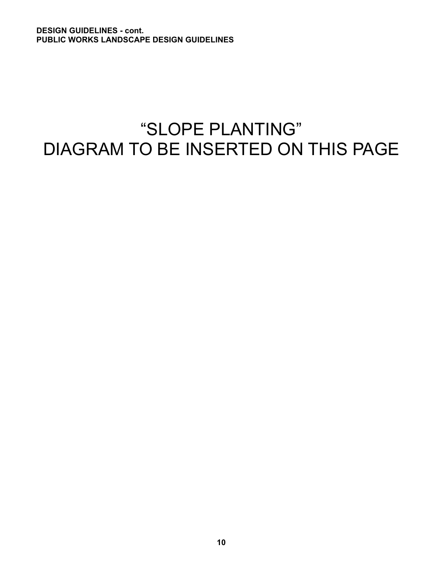# "SLOPE PLANTING" DIAGRAM TO BE INSERTED ON THIS PAGE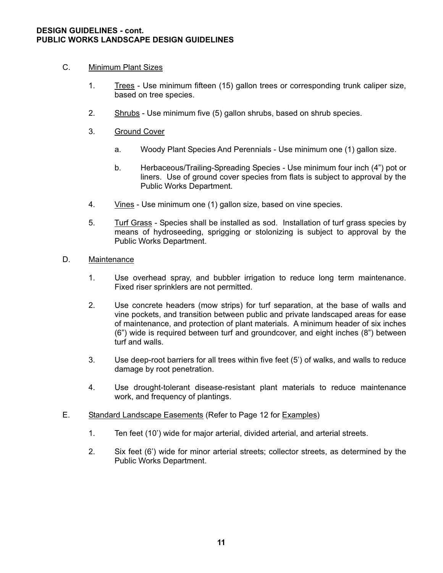# C. Minimum Plant Sizes

- 1. Trees Use minimum fifteen (15) gallon trees or corresponding trunk caliper size, based on tree species.
- 2. Shrubs Use minimum five (5) gallon shrubs, based on shrub species.
- 3. Ground Cover
	- a. Woody Plant Species And Perennials Use minimum one (1) gallon size.
	- b. Herbaceous/Trailing-Spreading Species Use minimum four inch (4") pot or liners. Use of ground cover species from flats is subject to approval by the Public Works Department.
- 4. Vines Use minimum one (1) gallon size, based on vine species.
- 5. Turf Grass Species shall be installed as sod. Installation of turf grass species by means of hydroseeding, sprigging or stolonizing is subject to approval by the Public Works Department.

#### D. Maintenance

- 1. Use overhead spray, and bubbler irrigation to reduce long term maintenance. Fixed riser sprinklers are not permitted.
- 2. Use concrete headers (mow strips) for turf separation, at the base of walls and vine pockets, and transition between public and private landscaped areas for ease of maintenance, and protection of plant materials. A minimum header of six inches (6") wide is required between turf and groundcover, and eight inches (8") between turf and walls.
- 3. Use deep-root barriers for all trees within five feet (5') of walks, and walls to reduce damage by root penetration.
- 4. Use drought-tolerant disease-resistant plant materials to reduce maintenance work, and frequency of plantings.
- E. Standard Landscape Easements (Refer to Page 12 for Examples)
	- 1. Ten feet (10') wide for major arterial, divided arterial, and arterial streets.
	- 2. Six feet (6') wide for minor arterial streets; collector streets, as determined by the Public Works Department.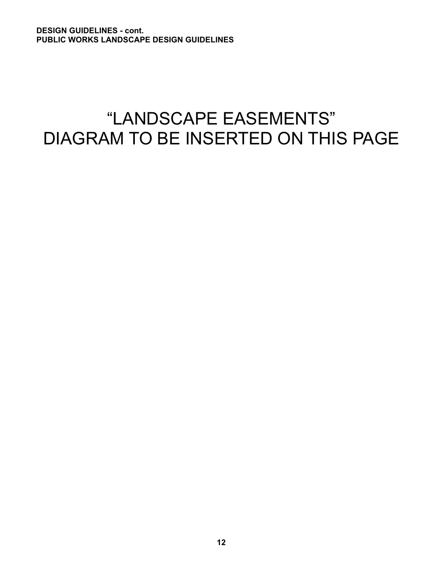# "LANDSCAPE EASEMENTS" DIAGRAM TO BE INSERTED ON THIS PAGE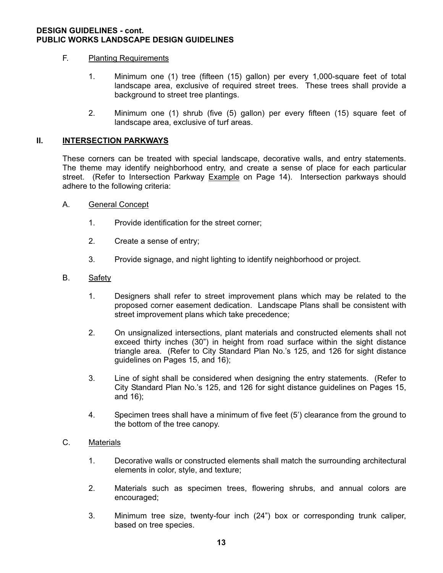#### F. Planting Requirements

- 1. Minimum one (1) tree (fifteen (15) gallon) per every 1,000-square feet of total landscape area, exclusive of required street trees. These trees shall provide a background to street tree plantings.
- 2. Minimum one (1) shrub (five (5) gallon) per every fifteen (15) square feet of landscape area, exclusive of turf areas.

#### **II. INTERSECTION PARKWAYS**

 These corners can be treated with special landscape, decorative walls, and entry statements. The theme may identify neighborhood entry, and create a sense of place for each particular street. (Refer to Intersection Parkway Example on Page 14). Intersection parkways should adhere to the following criteria:

- A. General Concept
	- 1. Provide identification for the street corner;
	- 2. Create a sense of entry;
	- 3. Provide signage, and night lighting to identify neighborhood or project.

#### B. Safety

- 1. Designers shall refer to street improvement plans which may be related to the proposed corner easement dedication. Landscape Plans shall be consistent with street improvement plans which take precedence;
- 2. On unsignalized intersections, plant materials and constructed elements shall not exceed thirty inches (30") in height from road surface within the sight distance triangle area. (Refer to City Standard Plan No.'s 125, and 126 for sight distance guidelines on Pages 15, and 16);
- 3. Line of sight shall be considered when designing the entry statements. (Refer to City Standard Plan No.'s 125, and 126 for sight distance guidelines on Pages 15, and 16);
- 4. Specimen trees shall have a minimum of five feet (5') clearance from the ground to the bottom of the tree canopy.

# C. Materials

- 1. Decorative walls or constructed elements shall match the surrounding architectural elements in color, style, and texture;
- 2. Materials such as specimen trees, flowering shrubs, and annual colors are encouraged;
- 3. Minimum tree size, twenty-four inch (24") box or corresponding trunk caliper, based on tree species.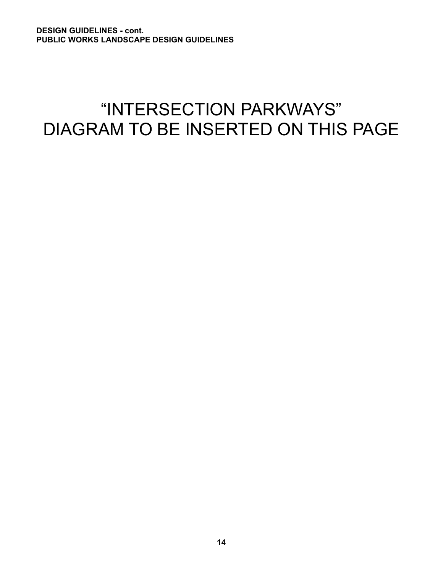# "INTERSECTION PARKWAYS" DIAGRAM TO BE INSERTED ON THIS PAGE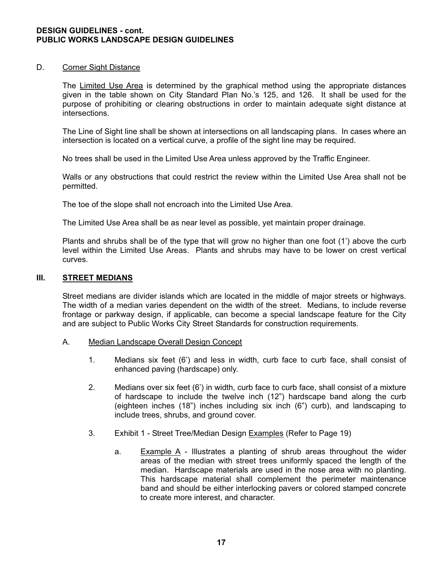#### D. Corner Sight Distance

 The Limited Use Area is determined by the graphical method using the appropriate distances given in the table shown on City Standard Plan No.'s 125, and 126. It shall be used for the purpose of prohibiting or clearing obstructions in order to maintain adequate sight distance at intersections.

 The Line of Sight line shall be shown at intersections on all landscaping plans. In cases where an intersection is located on a vertical curve, a profile of the sight line may be required.

No trees shall be used in the Limited Use Area unless approved by the Traffic Engineer.

 Walls or any obstructions that could restrict the review within the Limited Use Area shall not be permitted.

The toe of the slope shall not encroach into the Limited Use Area.

The Limited Use Area shall be as near level as possible, yet maintain proper drainage.

 Plants and shrubs shall be of the type that will grow no higher than one foot (1') above the curb level within the Limited Use Areas. Plants and shrubs may have to be lower on crest vertical curves.

#### **III. STREET MEDIANS**

 Street medians are divider islands which are located in the middle of major streets or highways. The width of a median varies dependent on the width of the street. Medians, to include reverse frontage or parkway design, if applicable, can become a special landscape feature for the City and are subject to Public Works City Street Standards for construction requirements.

#### A. Median Landscape Overall Design Concept

- 1. Medians six feet (6') and less in width, curb face to curb face, shall consist of enhanced paving (hardscape) only.
- 2. Medians over six feet (6') in width, curb face to curb face, shall consist of a mixture of hardscape to include the twelve inch (12") hardscape band along the curb (eighteen inches (18") inches including six inch (6") curb), and landscaping to include trees, shrubs, and ground cover.
- 3. Exhibit 1 Street Tree/Median Design Examples (Refer to Page 19)
	- a. Example  $\overline{A}$  Illustrates a planting of shrub areas throughout the wider areas of the median with street trees uniformly spaced the length of the median. Hardscape materials are used in the nose area with no planting. This hardscape material shall complement the perimeter maintenance band and should be either interlocking pavers or colored stamped concrete to create more interest, and character.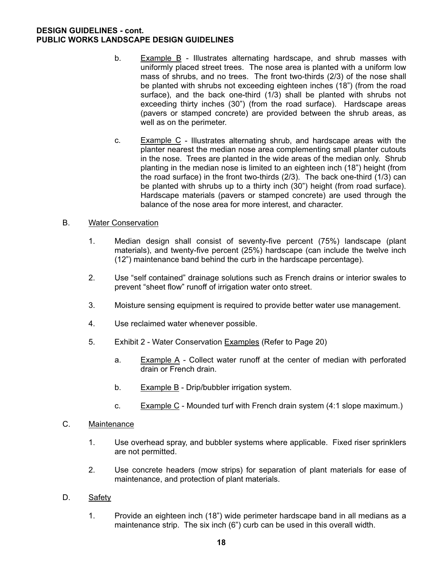- b. Example B Illustrates alternating hardscape, and shrub masses with uniformly placed street trees. The nose area is planted with a uniform low mass of shrubs, and no trees. The front two-thirds (2/3) of the nose shall be planted with shrubs not exceeding eighteen inches (18") (from the road surface), and the back one-third (1/3) shall be planted with shrubs not exceeding thirty inches (30") (from the road surface). Hardscape areas (pavers or stamped concrete) are provided between the shrub areas, as well as on the perimeter.
- c. Example C Illustrates alternating shrub, and hardscape areas with the planter nearest the median nose area complementing small planter cutouts in the nose. Trees are planted in the wide areas of the median only. Shrub planting in the median nose is limited to an eighteen inch (18") height (from the road surface) in the front two-thirds (2/3). The back one-third (1/3) can be planted with shrubs up to a thirty inch (30") height (from road surface). Hardscape materials (pavers or stamped concrete) are used through the balance of the nose area for more interest, and character.

### B. Water Conservation

- 1. Median design shall consist of seventy-five percent (75%) landscape (plant materials), and twenty-five percent (25%) hardscape (can include the twelve inch (12") maintenance band behind the curb in the hardscape percentage).
- 2. Use "self contained" drainage solutions such as French drains or interior swales to prevent "sheet flow" runoff of irrigation water onto street.
- 3. Moisture sensing equipment is required to provide better water use management.
- 4. Use reclaimed water whenever possible.
- 5. Exhibit 2 Water Conservation Examples (Refer to Page 20)
	- a. Example A Collect water runoff at the center of median with perforated drain or French drain.
	- b. Example B Drip/bubbler irrigation system.
	- c. Example  $C$  Mounded turf with French drain system (4:1 slope maximum.)

# C. Maintenance

- 1. Use overhead spray, and bubbler systems where applicable. Fixed riser sprinklers are not permitted.
- 2. Use concrete headers (mow strips) for separation of plant materials for ease of maintenance, and protection of plant materials.

#### D. Safety

 1. Provide an eighteen inch (18") wide perimeter hardscape band in all medians as a maintenance strip. The six inch (6") curb can be used in this overall width.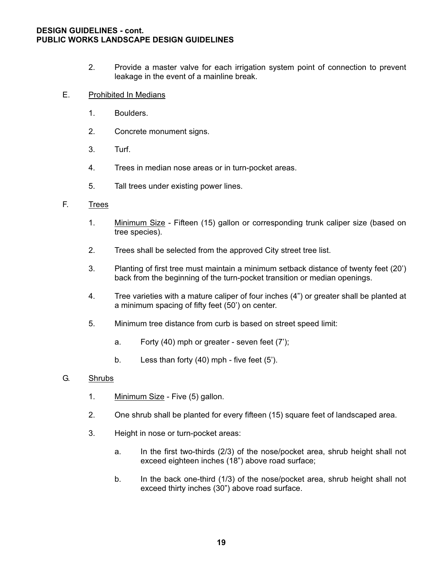2. Provide a master valve for each irrigation system point of connection to prevent leakage in the event of a mainline break.

### E. Prohibited In Medians

- 1. Boulders.
- 2. Concrete monument signs.
- 3. Turf.
- 4. Trees in median nose areas or in turn-pocket areas.
- 5. Tall trees under existing power lines.

#### F. Trees

- 1. Minimum Size Fifteen (15) gallon or corresponding trunk caliper size (based on tree species).
- 2. Trees shall be selected from the approved City street tree list.
- 3. Planting of first tree must maintain a minimum setback distance of twenty feet (20') back from the beginning of the turn-pocket transition or median openings.
- 4. Tree varieties with a mature caliper of four inches (4") or greater shall be planted at a minimum spacing of fifty feet (50') on center.
- 5. Minimum tree distance from curb is based on street speed limit:
	- a. Forty (40) mph or greater seven feet (7');
	- b. Less than forty (40) mph five feet (5').

#### G. Shrubs

- 1. Minimum Size Five (5) gallon.
- 2. One shrub shall be planted for every fifteen (15) square feet of landscaped area.
- 3. Height in nose or turn-pocket areas:
	- a. In the first two-thirds (2/3) of the nose/pocket area, shrub height shall not exceed eighteen inches (18") above road surface;
	- b. In the back one-third (1/3) of the nose/pocket area, shrub height shall not exceed thirty inches (30") above road surface.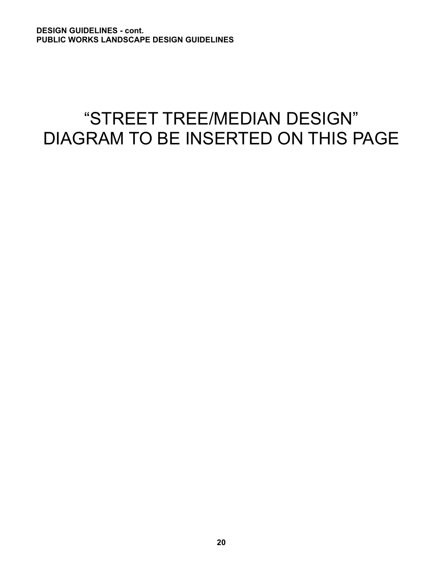# "STREET TREE/MEDIAN DESIGN" DIAGRAM TO BE INSERTED ON THIS PAGE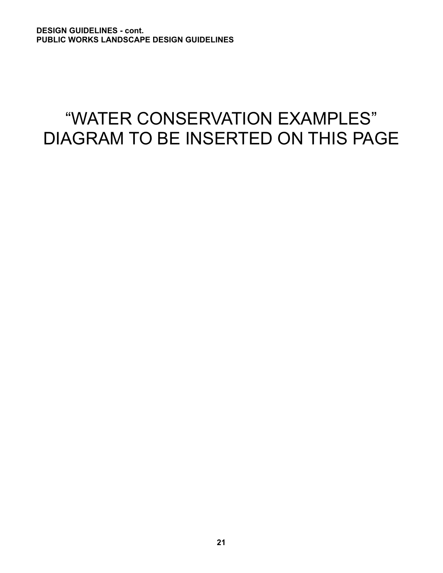# "WATER CONSERVATION EXAMPLES" DIAGRAM TO BE INSERTED ON THIS PAGE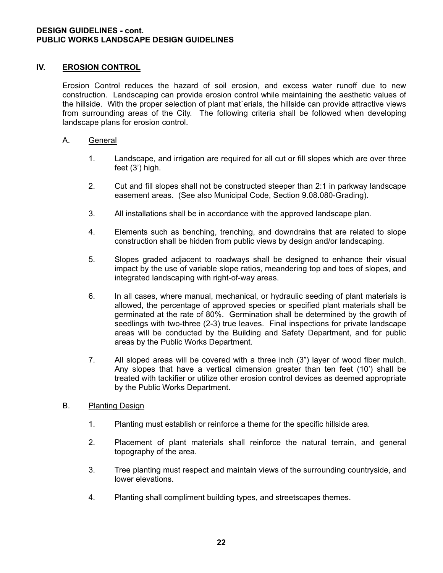# **IV. EROSION CONTROL**

 Erosion Control reduces the hazard of soil erosion, and excess water runoff due to new construction. Landscaping can provide erosion control while maintaining the aesthetic values of the hillside. With the proper selection of plant mat`erials, the hillside can provide attractive views from surrounding areas of the City. The following criteria shall be followed when developing landscape plans for erosion control.

#### A. General

- 1. Landscape, and irrigation are required for all cut or fill slopes which are over three feet (3') high.
- 2. Cut and fill slopes shall not be constructed steeper than 2:1 in parkway landscape easement areas. (See also Municipal Code, Section 9.08.080-Grading).
- 3. All installations shall be in accordance with the approved landscape plan.
- 4. Elements such as benching, trenching, and downdrains that are related to slope construction shall be hidden from public views by design and/or landscaping.
- 5. Slopes graded adjacent to roadways shall be designed to enhance their visual impact by the use of variable slope ratios, meandering top and toes of slopes, and integrated landscaping with right-of-way areas.
- 6. In all cases, where manual, mechanical, or hydraulic seeding of plant materials is allowed, the percentage of approved species or specified plant materials shall be germinated at the rate of 80%. Germination shall be determined by the growth of seedlings with two-three (2-3) true leaves. Final inspections for private landscape areas will be conducted by the Building and Safety Department, and for public areas by the Public Works Department.
- 7. All sloped areas will be covered with a three inch (3") layer of wood fiber mulch. Any slopes that have a vertical dimension greater than ten feet (10') shall be treated with tackifier or utilize other erosion control devices as deemed appropriate by the Public Works Department.

# B. Planting Design

- 1. Planting must establish or reinforce a theme for the specific hillside area.
- 2. Placement of plant materials shall reinforce the natural terrain, and general topography of the area.
- 3. Tree planting must respect and maintain views of the surrounding countryside, and lower elevations.
- 4. Planting shall compliment building types, and streetscapes themes.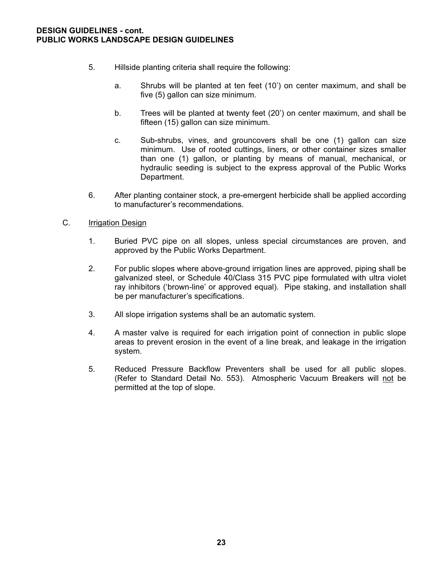- 5. Hillside planting criteria shall require the following:
	- a. Shrubs will be planted at ten feet (10') on center maximum, and shall be five (5) gallon can size minimum.
	- b. Trees will be planted at twenty feet (20') on center maximum, and shall be fifteen (15) gallon can size minimum.
	- c. Sub-shrubs, vines, and grouncovers shall be one (1) gallon can size minimum. Use of rooted cuttings, liners, or other container sizes smaller than one (1) gallon, or planting by means of manual, mechanical, or hydraulic seeding is subject to the express approval of the Public Works Department.
- 6. After planting container stock, a pre-emergent herbicide shall be applied according to manufacturer's recommendations.
- C. Irrigation Design
	- 1. Buried PVC pipe on all slopes, unless special circumstances are proven, and approved by the Public Works Department.
	- 2. For public slopes where above-ground irrigation lines are approved, piping shall be galvanized steel, or Schedule 40/Class 315 PVC pipe formulated with ultra violet ray inhibitors ('brown-line' or approved equal). Pipe staking, and installation shall be per manufacturer's specifications.
	- 3. All slope irrigation systems shall be an automatic system.
	- 4. A master valve is required for each irrigation point of connection in public slope areas to prevent erosion in the event of a line break, and leakage in the irrigation system.
	- 5. Reduced Pressure Backflow Preventers shall be used for all public slopes. (Refer to Standard Detail No. 553). Atmospheric Vacuum Breakers will not be permitted at the top of slope.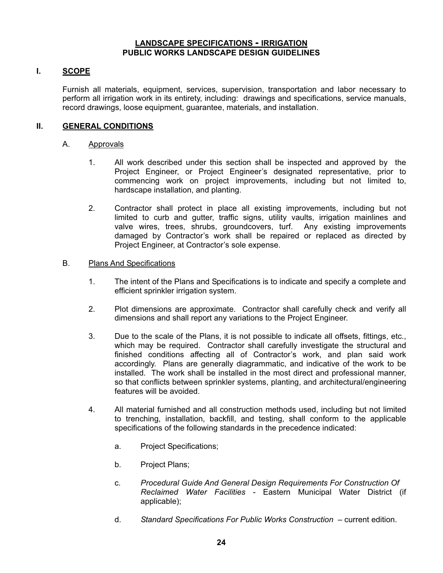# **I. SCOPE**

Furnish all materials, equipment, services, supervision, transportation and labor necessary to perform all irrigation work in its entirety, including: drawings and specifications, service manuals, record drawings, loose equipment, guarantee, materials, and installation.

# **II. GENERAL CONDITIONS**

#### A. Approvals

- 1. All work described under this section shall be inspected and approved by the Project Engineer, or Project Engineer's designated representative, prior to commencing work on project improvements, including but not limited to, hardscape installation, and planting.
- 2. Contractor shall protect in place all existing improvements, including but not limited to curb and gutter, traffic signs, utility vaults, irrigation mainlines and valve wires, trees, shrubs, groundcovers, turf. Any existing improvements damaged by Contractor's work shall be repaired or replaced as directed by Project Engineer, at Contractor's sole expense.

#### B. Plans And Specifications

- 1. The intent of the Plans and Specifications is to indicate and specify a complete and efficient sprinkler irrigation system.
- 2. Plot dimensions are approximate. Contractor shall carefully check and verify all dimensions and shall report any variations to the Project Engineer.
- 3. Due to the scale of the Plans, it is not possible to indicate all offsets, fittings, etc., which may be required. Contractor shall carefully investigate the structural and finished conditions affecting all of Contractor's work, and plan said work accordingly. Plans are generally diagrammatic, and indicative of the work to be installed. The work shall be installed in the most direct and professional manner, so that conflicts between sprinkler systems, planting, and architectural/engineering features will be avoided.
- 4. All material furnished and all construction methods used, including but not limited to trenching, installation, backfill, and testing, shall conform to the applicable specifications of the following standards in the precedence indicated:
	- a. Project Specifications;
	- b. Project Plans;
	- c. *Procedural Guide And General Design Requirements For Construction Of Reclaimed Water Facilities* - Eastern Municipal Water District (if applicable);
	- d. *Standard Specifications For Public Works Construction* current edition.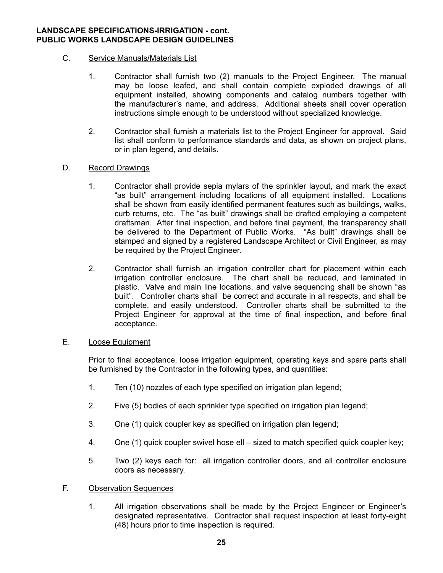# C. Service Manuals/Materials List

- 1. Contractor shall furnish two (2) manuals to the Project Engineer. The manual may be loose leafed, and shall contain complete exploded drawings of all equipment installed, showing components and catalog numbers together with the manufacturer's name, and address. Additional sheets shall cover operation instructions simple enough to be understood without specialized knowledge.
- 2. Contractor shall furnish a materials list to the Project Engineer for approval. Said list shall conform to performance standards and data, as shown on project plans, or in plan legend, and details.

#### D. Record Drawings

- 1. Contractor shall provide sepia mylars of the sprinkler layout, and mark the exact "as built" arrangement including locations of all equipment installed. Locations shall be shown from easily identified permanent features such as buildings, walks, curb returns, etc. The "as built" drawings shall be drafted employing a competent draftsman. After final inspection, and before final payment, the transparency shall be delivered to the Department of Public Works. "As built" drawings shall be stamped and signed by a registered Landscape Architect or Civil Engineer, as may be required by the Project Engineer.
- 2. Contractor shall furnish an irrigation controller chart for placement within each irrigation controller enclosure. The chart shall be reduced, and laminated in plastic. Valve and main line locations, and valve sequencing shall be shown "as built". Controller charts shall be correct and accurate in all respects, and shall be complete, and easily understood. Controller charts shall be submitted to the Project Engineer for approval at the time of final inspection, and before final acceptance.

#### E. Loose Equipment

 Prior to final acceptance, loose irrigation equipment, operating keys and spare parts shall be furnished by the Contractor in the following types, and quantities:

- 1. Ten (10) nozzles of each type specified on irrigation plan legend;
- 2. Five (5) bodies of each sprinkler type specified on irrigation plan legend;
- 3. One (1) quick coupler key as specified on irrigation plan legend;
- 4. One (1) quick coupler swivel hose ell sized to match specified quick coupler key;
- 5. Two (2) keys each for: all irrigation controller doors, and all controller enclosure doors as necessary.

#### F. Observation Sequences

1. All irrigation observations shall be made by the Project Engineer or Engineer's designated representative. Contractor shall request inspection at least forty-eight (48) hours prior to time inspection is required.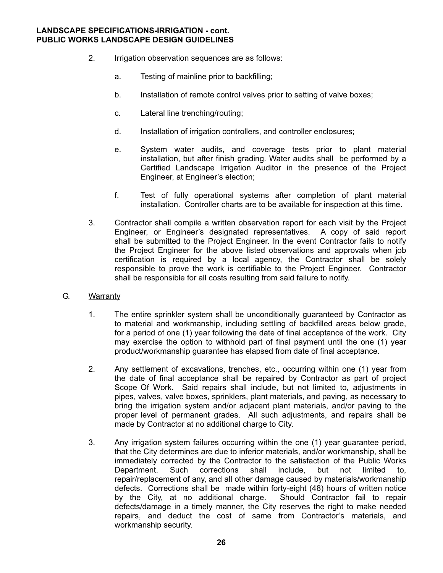- 2. Irrigation observation sequences are as follows:
	- a. Testing of mainline prior to backfilling;
	- b. Installation of remote control valves prior to setting of valve boxes;
	- c. Lateral line trenching/routing;
	- d. Installation of irrigation controllers, and controller enclosures;
	- e. System water audits, and coverage tests prior to plant material installation, but after finish grading. Water audits shall be performed by a Certified Landscape Irrigation Auditor in the presence of the Project Engineer, at Engineer's election;
	- f. Test of fully operational systems after completion of plant material installation. Controller charts are to be available for inspection at this time.
- 3. Contractor shall compile a written observation report for each visit by the Project Engineer, or Engineer's designated representatives. A copy of said report shall be submitted to the Project Engineer. In the event Contractor fails to notify the Project Engineer for the above listed observations and approvals when job certification is required by a local agency, the Contractor shall be solely responsible to prove the work is certifiable to the Project Engineer. Contractor shall be responsible for all costs resulting from said failure to notify.
- G. Warranty
	- 1. The entire sprinkler system shall be unconditionally guaranteed by Contractor as to material and workmanship, including settling of backfilled areas below grade, for a period of one (1) year following the date of final acceptance of the work. City may exercise the option to withhold part of final payment until the one (1) year product/workmanship guarantee has elapsed from date of final acceptance.
	- 2. Any settlement of excavations, trenches, etc., occurring within one (1) year from the date of final acceptance shall be repaired by Contractor as part of project Scope Of Work. Said repairs shall include, but not limited to, adjustments in pipes, valves, valve boxes, sprinklers, plant materials, and paving, as necessary to bring the irrigation system and/or adjacent plant materials, and/or paving to the proper level of permanent grades. All such adjustments, and repairs shall be made by Contractor at no additional charge to City.
	- 3. Any irrigation system failures occurring within the one (1) year guarantee period, that the City determines are due to inferior materials, and/or workmanship, shall be immediately corrected by the Contractor to the satisfaction of the Public Works Department. Such corrections shall include, but not limited to, repair/replacement of any, and all other damage caused by materials/workmanship defects. Corrections shall be made within forty-eight (48) hours of written notice<br>by the City, at no additional charge. Should Contractor fail to repair by the City, at no additional charge. defects/damage in a timely manner, the City reserves the right to make needed repairs, and deduct the cost of same from Contractor's materials, and workmanship security.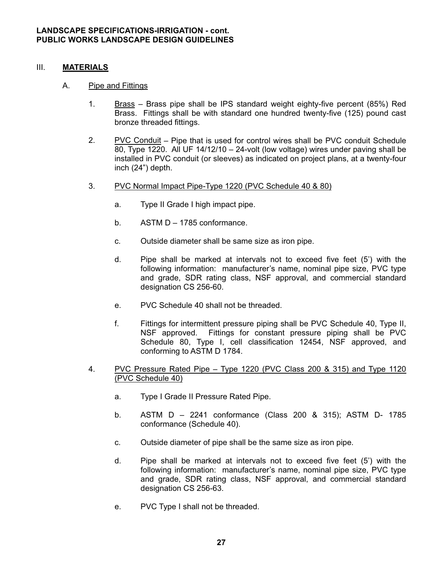### III. **MATERIALS**

#### A. Pipe and Fittings

- 1. Brass Brass pipe shall be IPS standard weight eighty-five percent (85%) Red Brass. Fittings shall be with standard one hundred twenty-five (125) pound cast bronze threaded fittings.
- 2. PVC Conduit Pipe that is used for control wires shall be PVC conduit Schedule 80, Type 1220. All UF 14/12/10 – 24-volt (low voltage) wires under paving shall be installed in PVC conduit (or sleeves) as indicated on project plans, at a twenty-four inch (24") depth.
- 3. PVC Normal Impact Pipe-Type 1220 (PVC Schedule 40 & 80)
	- a. Type II Grade I high impact pipe.
	- b. ASTM D 1785 conformance.
	- c. Outside diameter shall be same size as iron pipe.
	- d. Pipe shall be marked at intervals not to exceed five feet (5') with the following information: manufacturer's name, nominal pipe size, PVC type and grade, SDR rating class, NSF approval, and commercial standard designation CS 256-60.
	- e. PVC Schedule 40 shall not be threaded.
	- f. Fittings for intermittent pressure piping shall be PVC Schedule 40, Type II, NSF approved. Fittings for constant pressure piping shall be PVC Schedule 80, Type I, cell classification 12454, NSF approved, and conforming to ASTM D 1784.
- 4. PVC Pressure Rated Pipe Type 1220 (PVC Class 200 & 315) and Type 1120 (PVC Schedule 40)
	- a. Type I Grade II Pressure Rated Pipe.
	- b. ASTM D 2241 conformance (Class 200 & 315); ASTM D- 1785 conformance (Schedule 40).
	- c. Outside diameter of pipe shall be the same size as iron pipe.
	- d. Pipe shall be marked at intervals not to exceed five feet (5') with the following information: manufacturer's name, nominal pipe size, PVC type and grade, SDR rating class, NSF approval, and commercial standard designation CS 256-63.
	- e. PVC Type I shall not be threaded.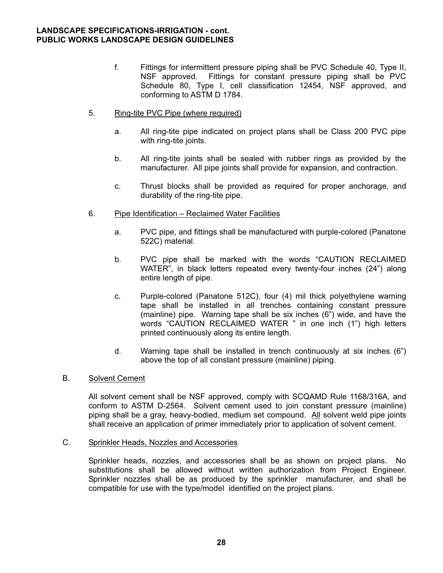- f. Fittings for intermittent pressure piping shall be PVC Schedule 40, Type II, NSF approved. Fittings for constant pressure piping shall be PVC Schedule 80, Type I, cell classification 12454, NSF approved, and conforming to ASTM D 1784.
- 5. Ring-tite PVC Pipe (where required)
	- a. All ring-tite pipe indicated on project plans shall be Class 200 PVC pipe with ring-tite joints.
	- b. All ring-tite joints shall be sealed with rubber rings as provided by the manufacturer. All pipe joints shall provide for expansion, and contraction.
	- c. Thrust blocks shall be provided as required for proper anchorage, and durability of the ring-tite pipe.
- 6. Pipe Identification Reclaimed Water Facilities
	- a. PVC pipe, and fittings shall be manufactured with purple-colored (Panatone 522C) material.
	- b. PVC pipe shall be marked with the words "CAUTION RECLAIMED WATER", in black letters repeated every twenty-four inches (24") along entire length of pipe.
	- c. Purple-colored (Panatone 512C), four (4) mil thick polyethylene warning tape shall be installed in all trenches containing constant pressure (mainline) pipe. Warning tape shall be six inches (6") wide, and have the words "CAUTION RECLAIMED WATER " in one inch (1") high letters printed continuously along its entire length.
	- d. Warning tape shall be installed in trench continuously at six inches (6") above the top of all constant pressure (mainline) piping.

# B. Solvent Cement

All solvent cement shall be NSF approved, comply with SCQAMD Rule 1168/316A, and conform to ASTM D-2564. Solvent cement used to join constant pressure (mainline) piping shall be a gray, heavy-bodied, medium set compound. All solvent weld pipe joints shall receive an application of primer immediately prior to application of solvent cement.

C. Sprinkler Heads, Nozzles and Accessories

Sprinkler heads, nozzles, and accessories shall be as shown on project plans. No substitutions shall be allowed without written authorization from Project Engineer. Sprinkler nozzles shall be as produced by the sprinkler manufacturer, and shall be compatible for use with the type/model identified on the project plans.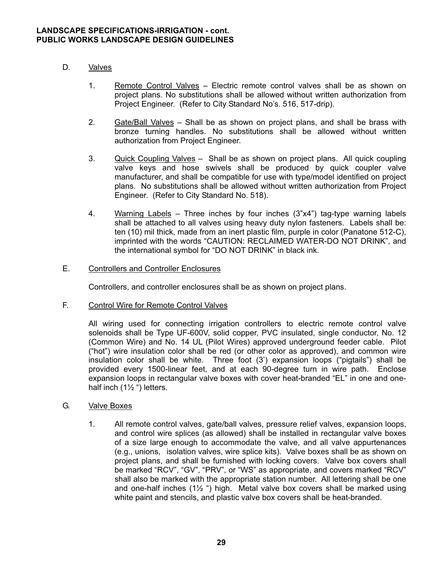- D. Valves
	- 1. Remote Control Valves Electric remote control valves shall be as shown on project plans. No substitutions shall be allowed without written authorization from Project Engineer. (Refer to City Standard No's. 516, 517-drip).
	- 2. Gate/Ball Valves Shall be as shown on project plans, and shall be brass with bronze turning handles. No substitutions shall be allowed without written authorization from Project Engineer.
	- 3. Quick Coupling Valves Shall be as shown on project plans. All quick coupling valve keys and hose swivels shall be produced by quick coupler valve manufacturer, and shall be compatible for use with type/model identified on project plans. No substitutions shall be allowed without written authorization from Project Engineer. (Refer to City Standard No. 518).
	- 4. Warning Labels Three inches by four inches (3"x4") tag-type warning labels shall be attached to all valves using heavy duty nylon fasteners. Labels shall be: ten (10) mil thick, made from an inert plastic film, purple in color (Panatone 512-C), imprinted with the words "CAUTION: RECLAIMED WATER-DO NOT DRINK", and the international symbol for "DO NOT DRINK" in black ink.

# E. Controllers and Controller Enclosures

Controllers, and controller enclosures shall be as shown on project plans.

F. Control Wire for Remote Control Valves

All wiring used for connecting irrigation controllers to electric remote control valve solenoids shall be Type UF-600V, solid copper, PVC insulated, single conductor, No. 12 (Common Wire) and No. 14 UL (Pilot Wires) approved underground feeder cable. Pilot ("hot") wire insulation color shall be red (or other color as approved), and common wire insulation color shall be white. Three foot (3') expansion loops ("pigtails") shall be provided every 1500-linear feet, and at each 90-degree turn in wire path. Enclose expansion loops in rectangular valve boxes with cover heat-branded "EL" in one and onehalf inch  $(1\frac{1}{2})$  letters.

- G. Valve Boxes
	- 1. All remote control valves, gate/ball valves, pressure relief valves, expansion loops, and control wire splices (as allowed) shall be installed in rectangular valve boxes of a size large enough to accommodate the valve, and all valve appurtenances (e.g., unions, isolation valves, wire splice kits). Valve boxes shall be as shown on project plans, and shall be furnished with locking covers. Valve box covers shall be marked "RCV", "GV", "PRV", or "WS" as appropriate, and covers marked "RCV" shall also be marked with the appropriate station number. All lettering shall be one and one-half inches  $(1\frac{1}{2})$  high. Metal valve box covers shall be marked using white paint and stencils, and plastic valve box covers shall be heat-branded.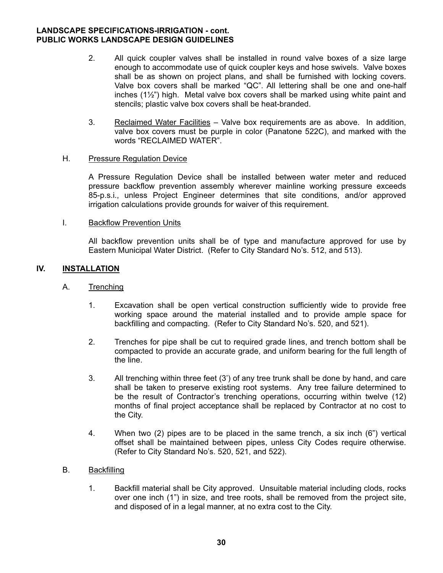- 2. All quick coupler valves shall be installed in round valve boxes of a size large enough to accommodate use of quick coupler keys and hose swivels. Valve boxes shall be as shown on project plans, and shall be furnished with locking covers. Valve box covers shall be marked "QC". All lettering shall be one and one-half inches (1½") high. Metal valve box covers shall be marked using white paint and stencils; plastic valve box covers shall be heat-branded.
- 3. Reclaimed Water Facilities Valve box requirements are as above. In addition, valve box covers must be purple in color (Panatone 522C), and marked with the words "RECLAIMED WATER".

#### H. Pressure Regulation Device

A Pressure Regulation Device shall be installed between water meter and reduced pressure backflow prevention assembly wherever mainline working pressure exceeds 85-p.s.i., unless Project Engineer determines that site conditions, and/or approved irrigation calculations provide grounds for waiver of this requirement.

#### I. Backflow Prevention Units

 All backflow prevention units shall be of type and manufacture approved for use by Eastern Municipal Water District. (Refer to City Standard No's. 512, and 513).

#### **IV. INSTALLATION**

### A. Trenching

- 1. Excavation shall be open vertical construction sufficiently wide to provide free working space around the material installed and to provide ample space for backfilling and compacting. (Refer to City Standard No's. 520, and 521).
- 2. Trenches for pipe shall be cut to required grade lines, and trench bottom shall be compacted to provide an accurate grade, and uniform bearing for the full length of the line.
- 3. All trenching within three feet (3') of any tree trunk shall be done by hand, and care shall be taken to preserve existing root systems. Any tree failure determined to be the result of Contractor's trenching operations, occurring within twelve (12) months of final project acceptance shall be replaced by Contractor at no cost to the City.
- 4. When two (2) pipes are to be placed in the same trench, a six inch (6") vertical offset shall be maintained between pipes, unless City Codes require otherwise. (Refer to City Standard No's. 520, 521, and 522).

#### B. Backfilling

 1. Backfill material shall be City approved. Unsuitable material including clods, rocks over one inch (1") in size, and tree roots, shall be removed from the project site, and disposed of in a legal manner, at no extra cost to the City.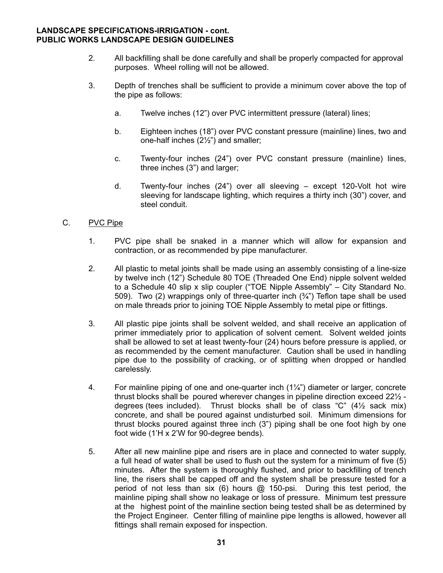- 2. All backfilling shall be done carefully and shall be properly compacted for approval purposes. Wheel rolling will not be allowed.
- 3. Depth of trenches shall be sufficient to provide a minimum cover above the top of the pipe as follows:
	- a. Twelve inches (12") over PVC intermittent pressure (lateral) lines;
	- b. Eighteen inches (18") over PVC constant pressure (mainline) lines, two and one-half inches (2½") and smaller;
	- c. Twenty-four inches (24") over PVC constant pressure (mainline) lines, three inches (3") and larger;
	- d. Twenty-four inches (24") over all sleeving except 120-Volt hot wire sleeving for landscape lighting, which requires a thirty inch (30") cover, and steel conduit.

# C. PVC Pipe

- 1. PVC pipe shall be snaked in a manner which will allow for expansion and contraction, or as recommended by pipe manufacturer.
- 2. All plastic to metal joints shall be made using an assembly consisting of a line-size by twelve inch (12") Schedule 80 TOE (Threaded One End) nipple solvent welded to a Schedule 40 slip x slip coupler ("TOE Nipple Assembly" – City Standard No. 509). Two (2) wrappings only of three-quarter inch  $(\frac{3}{4})$  Teflon tape shall be used on male threads prior to joining TOE Nipple Assembly to metal pipe or fittings.
- 3. All plastic pipe joints shall be solvent welded, and shall receive an application of primer immediately prior to application of solvent cement. Solvent welded joints shall be allowed to set at least twenty-four (24) hours before pressure is applied, or as recommended by the cement manufacturer. Caution shall be used in handling pipe due to the possibility of cracking, or of splitting when dropped or handled carelessly.
- 4. For mainline piping of one and one-quarter inch (1¼") diameter or larger, concrete thrust blocks shall be poured wherever changes in pipeline direction exceed 22½ degrees (tees included). Thrust blocks shall be of class " $C$ " (4 $\frac{1}{2}$  sack mix) concrete, and shall be poured against undisturbed soil. Minimum dimensions for thrust blocks poured against three inch (3") piping shall be one foot high by one foot wide (1'H x 2'W for 90-degree bends).
- 5. After all new mainline pipe and risers are in place and connected to water supply, a full head of water shall be used to flush out the system for a minimum of five (5) minutes. After the system is thoroughly flushed, and prior to backfilling of trench line, the risers shall be capped off and the system shall be pressure tested for a period of not less than six (6) hours  $\omega$  150-psi. During this test period, the mainline piping shall show no leakage or loss of pressure. Minimum test pressure at the highest point of the mainline section being tested shall be as determined by the Project Engineer. Center filling of mainline pipe lengths is allowed, however all fittings shall remain exposed for inspection.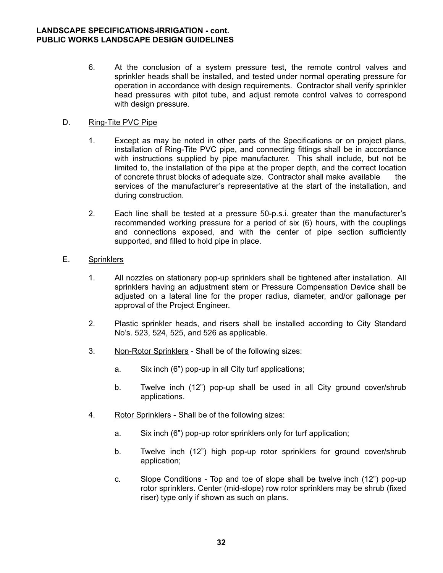6. At the conclusion of a system pressure test, the remote control valves and sprinkler heads shall be installed, and tested under normal operating pressure for operation in accordance with design requirements. Contractor shall verify sprinkler head pressures with pitot tube, and adjust remote control valves to correspond with design pressure.

# D. Ring-Tite PVC Pipe

- 1. Except as may be noted in other parts of the Specifications or on project plans, installation of Ring-Tite PVC pipe, and connecting fittings shall be in accordance with instructions supplied by pipe manufacturer. This shall include, but not be limited to, the installation of the pipe at the proper depth, and the correct location of concrete thrust blocks of adequate size. Contractor shall make available the services of the manufacturer's representative at the start of the installation, and during construction.
- 2. Each line shall be tested at a pressure 50-p.s.i. greater than the manufacturer's recommended working pressure for a period of six (6) hours, with the couplings and connections exposed, and with the center of pipe section sufficiently supported, and filled to hold pipe in place.

# E. Sprinklers

- 1. All nozzles on stationary pop-up sprinklers shall be tightened after installation. All sprinklers having an adjustment stem or Pressure Compensation Device shall be adjusted on a lateral line for the proper radius, diameter, and/or gallonage per approval of the Project Engineer.
- 2. Plastic sprinkler heads, and risers shall be installed according to City Standard No's. 523, 524, 525, and 526 as applicable.
- 3. Non-Rotor Sprinklers Shall be of the following sizes:
	- a. Six inch (6") pop-up in all City turf applications;
	- b. Twelve inch (12") pop-up shall be used in all City ground cover/shrub applications.
- 4. Rotor Sprinklers Shall be of the following sizes:
	- a. Six inch (6") pop-up rotor sprinklers only for turf application;
	- b. Twelve inch (12") high pop-up rotor sprinklers for ground cover/shrub application;
	- c. Slope Conditions Top and toe of slope shall be twelve inch (12") pop-up rotor sprinklers. Center (mid-slope) row rotor sprinklers may be shrub (fixed riser) type only if shown as such on plans.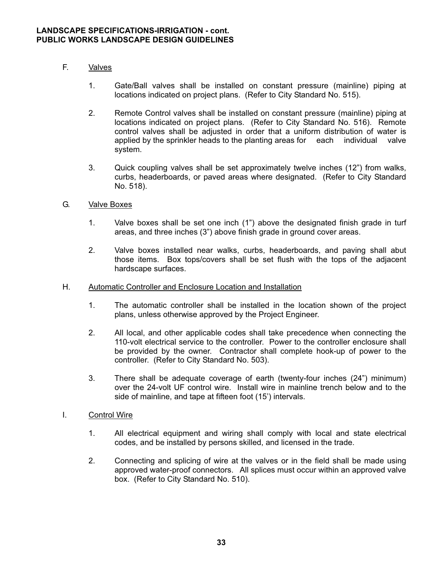- F. Valves
	- 1. Gate/Ball valves shall be installed on constant pressure (mainline) piping at locations indicated on project plans. (Refer to City Standard No. 515).
	- 2. Remote Control valves shall be installed on constant pressure (mainline) piping at locations indicated on project plans. (Refer to City Standard No. 516). Remote control valves shall be adjusted in order that a uniform distribution of water is applied by the sprinkler heads to the planting areas for each individual valve system.
	- 3. Quick coupling valves shall be set approximately twelve inches (12") from walks, curbs, headerboards, or paved areas where designated. (Refer to City Standard No. 518).
- G. Valve Boxes
	- 1. Valve boxes shall be set one inch (1") above the designated finish grade in turf areas, and three inches (3") above finish grade in ground cover areas.
	- 2. Valve boxes installed near walks, curbs, headerboards, and paving shall abut those items. Box tops/covers shall be set flush with the tops of the adjacent hardscape surfaces.
- H. Automatic Controller and Enclosure Location and Installation
	- 1. The automatic controller shall be installed in the location shown of the project plans, unless otherwise approved by the Project Engineer.
	- 2. All local, and other applicable codes shall take precedence when connecting the 110-volt electrical service to the controller. Power to the controller enclosure shall be provided by the owner. Contractor shall complete hook-up of power to the controller. (Refer to City Standard No. 503).
	- 3. There shall be adequate coverage of earth (twenty-four inches (24") minimum) over the 24-volt UF control wire. Install wire in mainline trench below and to the side of mainline, and tape at fifteen foot (15') intervals.
- I. Control Wire
	- 1. All electrical equipment and wiring shall comply with local and state electrical codes, and be installed by persons skilled, and licensed in the trade.
	- 2. Connecting and splicing of wire at the valves or in the field shall be made using approved water-proof connectors. All splices must occur within an approved valve box. (Refer to City Standard No. 510).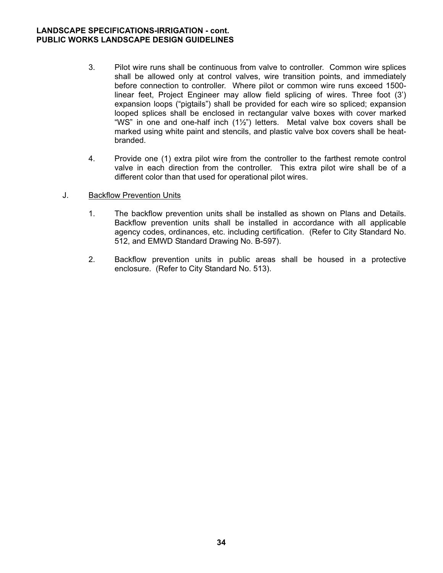- 3. Pilot wire runs shall be continuous from valve to controller. Common wire splices shall be allowed only at control valves, wire transition points, and immediately before connection to controller. Where pilot or common wire runs exceed 1500 linear feet, Project Engineer may allow field splicing of wires. Three foot (3') expansion loops ("pigtails") shall be provided for each wire so spliced; expansion looped splices shall be enclosed in rectangular valve boxes with cover marked "WS" in one and one-half inch (1½") letters. Metal valve box covers shall be marked using white paint and stencils, and plastic valve box covers shall be heat branded.
- 4. Provide one (1) extra pilot wire from the controller to the farthest remote control valve in each direction from the controller. This extra pilot wire shall be of a different color than that used for operational pilot wires.
- J. Backflow Prevention Units
	- 1. The backflow prevention units shall be installed as shown on Plans and Details. Backflow prevention units shall be installed in accordance with all applicable agency codes, ordinances, etc. including certification. (Refer to City Standard No. 512, and EMWD Standard Drawing No. B-597).
	- 2. Backflow prevention units in public areas shall be housed in a protective enclosure. (Refer to City Standard No. 513).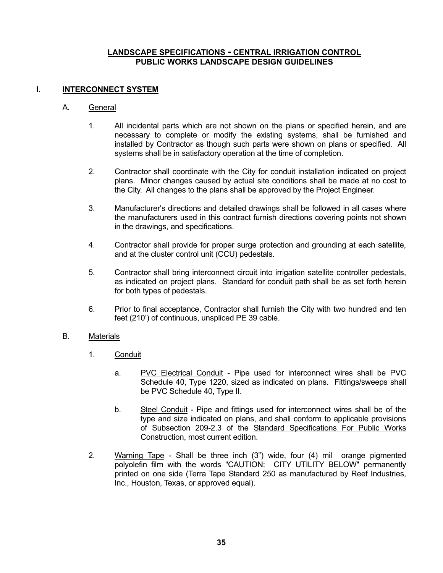### **LANDSCAPE SPECIFICATIONS - CENTRAL IRRIGATION CONTROL PUBLIC WORKS LANDSCAPE DESIGN GUIDELINES**

# **I. INTERCONNECT SYSTEM**

#### A. General

- 1. All incidental parts which are not shown on the plans or specified herein, and are necessary to complete or modify the existing systems, shall be furnished and installed by Contractor as though such parts were shown on plans or specified. All systems shall be in satisfactory operation at the time of completion.
- 2. Contractor shall coordinate with the City for conduit installation indicated on project plans. Minor changes caused by actual site conditions shall be made at no cost to the City. All changes to the plans shall be approved by the Project Engineer.
- 3. Manufacturer's directions and detailed drawings shall be followed in all cases where the manufacturers used in this contract furnish directions covering points not shown in the drawings, and specifications.
- 4. Contractor shall provide for proper surge protection and grounding at each satellite, and at the cluster control unit (CCU) pedestals.
- 5. Contractor shall bring interconnect circuit into irrigation satellite controller pedestals, as indicated on project plans. Standard for conduit path shall be as set forth herein for both types of pedestals.
- 6. Prior to final acceptance, Contractor shall furnish the City with two hundred and ten feet (210') of continuous, unspliced PE 39 cable.

# B. Materials

- 1. Conduit
	- a. PVC Electrical Conduit Pipe used for interconnect wires shall be PVC Schedule 40, Type 1220, sized as indicated on plans. Fittings/sweeps shall be PVC Schedule 40, Type II.
	- b. Steel Conduit Pipe and fittings used for interconnect wires shall be of the type and size indicated on plans, and shall conform to applicable provisions of Subsection 209-2.3 of the Standard Specifications For Public Works Construction, most current edition.
- 2. Warning Tape Shall be three inch (3") wide, four (4) mil orange pigmented polyolefin film with the words "CAUTION: CITY UTILITY BELOW" permanently printed on one side (Terra Tape Standard 250 as manufactured by Reef Industries, Inc., Houston, Texas, or approved equal).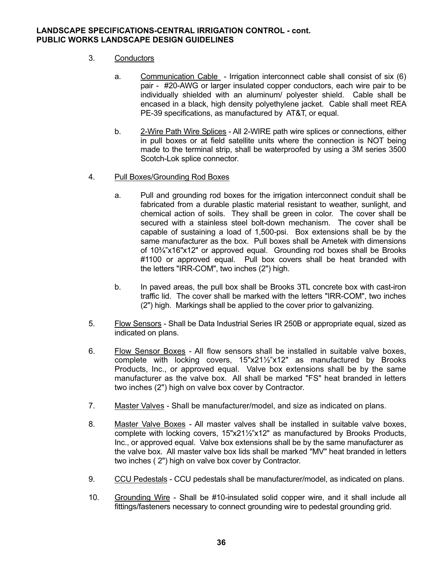# 3. Conductors

- a. Communication Cable Irrigation interconnect cable shall consist of six (6) pair - #20-AWG or larger insulated copper conductors, each wire pair to be individually shielded with an aluminum/ polyester shield. Cable shall be encased in a black, high density polyethylene jacket. Cable shall meet REA PE-39 specifications, as manufactured by AT&T, or equal.
- b. 2-Wire Path Wire Splices All 2-WIRE path wire splices or connections, either in pull boxes or at field satellite units where the connection is NOT being made to the terminal strip, shall be waterproofed by using a 3M series 3500 Scotch-Lok splice connector.
- 4. Pull Boxes/Grounding Rod Boxes
	- a. Pull and grounding rod boxes for the irrigation interconnect conduit shall be fabricated from a durable plastic material resistant to weather, sunlight, and chemical action of soils. They shall be green in color. The cover shall be secured with a stainless steel bolt-down mechanism. The cover shall be capable of sustaining a load of 1,500-psi. Box extensions shall be by the same manufacturer as the box. Pull boxes shall be Ametek with dimensions of 10¾"x16"x12" or approved equal. Grounding rod boxes shall be Brooks #1100 or approved equal. Pull box covers shall be heat branded with the letters "IRR-COM", two inches (2") high.
	- b. In paved areas, the pull box shall be Brooks 3TL concrete box with cast-iron traffic lid. The cover shall be marked with the letters "IRR-COM", two inches (2") high. Markings shall be applied to the cover prior to galvanizing.
- 5. Flow Sensors Shall be Data Industrial Series IR 250B or appropriate equal, sized as indicated on plans.
- 6. Flow Sensor Boxes All flow sensors shall be installed in suitable valve boxes, complete with locking covers, 15"x21½"x12" as manufactured by Brooks Products, Inc., or approved equal. Valve box extensions shall be by the same manufacturer as the valve box. All shall be marked "FS" heat branded in letters two inches (2") high on valve box cover by Contractor.
- 7. Master Valves Shall be manufacturer/model, and size as indicated on plans.
- 8. Master Valve Boxes All master valves shall be installed in suitable valve boxes, complete with locking covers, 15"x21½"x12" as manufactured by Brooks Products, Inc., or approved equal. Valve box extensions shall be by the same manufacturer as the valve box. All master valve box lids shall be marked "MV" heat branded in letters two inches ( 2") high on valve box cover by Contractor.
- 9. CCU Pedestals CCU pedestals shall be manufacturer/model, as indicated on plans.
- 10. Grounding Wire Shall be #10-insulated solid copper wire, and it shall include all fittings/fasteners necessary to connect grounding wire to pedestal grounding grid.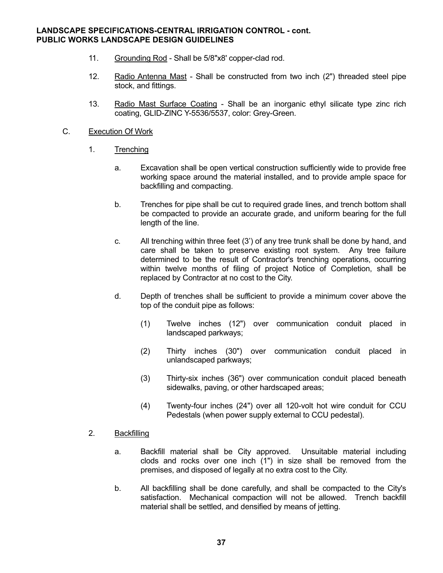- 11. Grounding Rod Shall be 5/8"x8' copper-clad rod.
- 12. Radio Antenna Mast Shall be constructed from two inch (2") threaded steel pipe stock, and fittings.
- 13. Radio Mast Surface Coating Shall be an inorganic ethyl silicate type zinc rich coating, GLID-ZINC Y-5536/5537, color: Grey-Green.

#### C. Execution Of Work

- 1. Trenching
	- a. Excavation shall be open vertical construction sufficiently wide to provide free working space around the material installed, and to provide ample space for backfilling and compacting.
	- b. Trenches for pipe shall be cut to required grade lines, and trench bottom shall be compacted to provide an accurate grade, and uniform bearing for the full length of the line.
	- c. All trenching within three feet (3') of any tree trunk shall be done by hand, and care shall be taken to preserve existing root system. Any tree failure determined to be the result of Contractor's trenching operations, occurring within twelve months of filing of project Notice of Completion, shall be replaced by Contractor at no cost to the City.
	- d. Depth of trenches shall be sufficient to provide a minimum cover above the top of the conduit pipe as follows:
		- (1) Twelve inches (12") over communication conduit placed in landscaped parkways;
		- (2) Thirty inches (30") over communication conduit placed in unlandscaped parkways;
		- (3) Thirty-six inches (36") over communication conduit placed beneath sidewalks, paving, or other hardscaped areas;
		- (4) Twenty-four inches (24") over all 120-volt hot wire conduit for CCU Pedestals (when power supply external to CCU pedestal).

# 2. Backfilling

- a. Backfill material shall be City approved. Unsuitable material including clods and rocks over one inch (1") in size shall be removed from the premises, and disposed of legally at no extra cost to the City.
- b. All backfilling shall be done carefully, and shall be compacted to the City's satisfaction. Mechanical compaction will not be allowed. Trench backfill material shall be settled, and densified by means of jetting.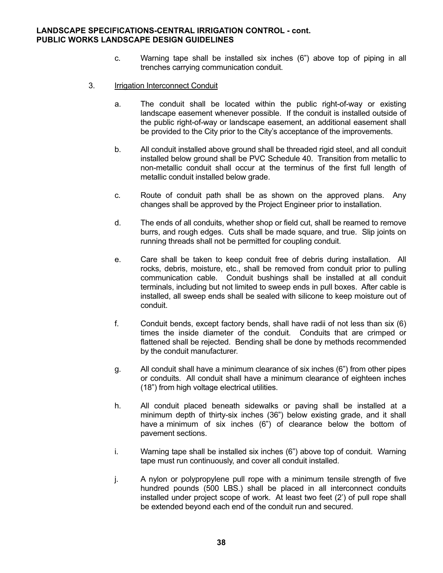- c. Warning tape shall be installed six inches (6") above top of piping in all trenches carrying communication conduit.
- 3. Irrigation Interconnect Conduit
	- a. The conduit shall be located within the public right-of-way or existing landscape easement whenever possible. If the conduit is installed outside of the public right-of-way or landscape easement, an additional easement shall be provided to the City prior to the City's acceptance of the improvements.
	- b. All conduit installed above ground shall be threaded rigid steel, and all conduit installed below ground shall be PVC Schedule 40. Transition from metallic to non-metallic conduit shall occur at the terminus of the first full length of metallic conduit installed below grade.
	- c. Route of conduit path shall be as shown on the approved plans. Any changes shall be approved by the Project Engineer prior to installation.
	- d. The ends of all conduits, whether shop or field cut, shall be reamed to remove burrs, and rough edges. Cuts shall be made square, and true. Slip joints on running threads shall not be permitted for coupling conduit.
	- e. Care shall be taken to keep conduit free of debris during installation. All rocks, debris, moisture, etc., shall be removed from conduit prior to pulling communication cable. Conduit bushings shall be installed at all conduit terminals, including but not limited to sweep ends in pull boxes. After cable is installed, all sweep ends shall be sealed with silicone to keep moisture out of conduit.
	- f. Conduit bends, except factory bends, shall have radii of not less than six (6) times the inside diameter of the conduit. Conduits that are crimped or flattened shall be rejected. Bending shall be done by methods recommended by the conduit manufacturer.
	- g. All conduit shall have a minimum clearance of six inches (6") from other pipes or conduits. All conduit shall have a minimum clearance of eighteen inches (18") from high voltage electrical utilities.
	- h. All conduit placed beneath sidewalks or paving shall be installed at a minimum depth of thirty-six inches (36") below existing grade, and it shall have a minimum of six inches (6") of clearance below the bottom of pavement sections.
	- i. Warning tape shall be installed six inches (6") above top of conduit. Warning tape must run continuously, and cover all conduit installed.
	- j. A nylon or polypropylene pull rope with a minimum tensile strength of five hundred pounds (500 LBS.) shall be placed in all interconnect conduits installed under project scope of work. At least two feet (2') of pull rope shall be extended beyond each end of the conduit run and secured.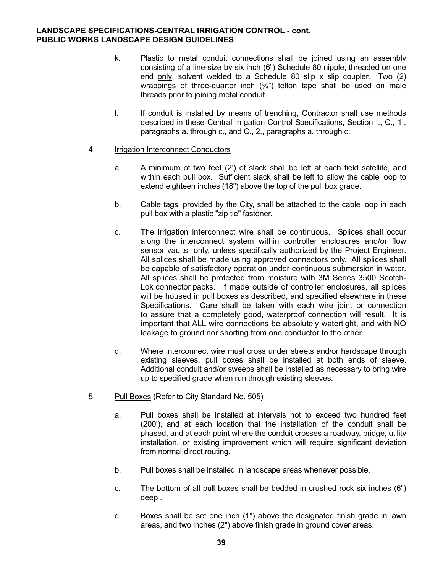- k. Plastic to metal conduit connections shall be joined using an assembly consisting of a line-size by six inch (6") Schedule 80 nipple, threaded on one end only, solvent welded to a Schedule 80 slip x slip coupler. Two (2) wrappings of three-quarter inch  $(3/4)$  teflon tape shall be used on male threads prior to joining metal conduit.
- l. If conduit is installed by means of trenching, Contractor shall use methods described in these Central Irrigation Control Specifications, Section I., C., 1., paragraphs a. through c., and C., 2., paragraphs a. through c.
- 4. Irrigation Interconnect Conductors
	- a. A minimum of two feet (2') of slack shall be left at each field satellite, and within each pull box. Sufficient slack shall be left to allow the cable loop to extend eighteen inches (18") above the top of the pull box grade.
	- b. Cable tags, provided by the City, shall be attached to the cable loop in each pull box with a plastic "zip tie" fastener.
	- c. The irrigation interconnect wire shall be continuous. Splices shall occur along the interconnect system within controller enclosures and/or flow sensor vaults only, unless specifically authorized by the Project Engineer. All splices shall be made using approved connectors only. All splices shall be capable of satisfactory operation under continuous submersion in water. All splices shall be protected from moisture with 3M Series 3500 Scotch- Lok connector packs. If made outside of controller enclosures, all splices will be housed in pull boxes as described, and specified elsewhere in these Specifications. Care shall be taken with each wire joint or connection to assure that a completely good, waterproof connection will result. It is important that ALL wire connections be absolutely watertight, and with NO leakage to ground nor shorting from one conductor to the other.
	- d. Where interconnect wire must cross under streets and/or hardscape through existing sleeves, pull boxes shall be installed at both ends of sleeve. Additional conduit and/or sweeps shall be installed as necessary to bring wire up to specified grade when run through existing sleeves.
- 5. Pull Boxes (Refer to City Standard No. 505)
	- a. Pull boxes shall be installed at intervals not to exceed two hundred feet (200'), and at each location that the installation of the conduit shall be phased, and at each point where the conduit crosses a roadway, bridge, utility installation, or existing improvement which will require significant deviation from normal direct routing.
	- b. Pull boxes shall be installed in landscape areas whenever possible.
	- c. The bottom of all pull boxes shall be bedded in crushed rock six inches (6") deep .
	- d. Boxes shall be set one inch (1") above the designated finish grade in lawn areas, and two inches (2") above finish grade in ground cover areas.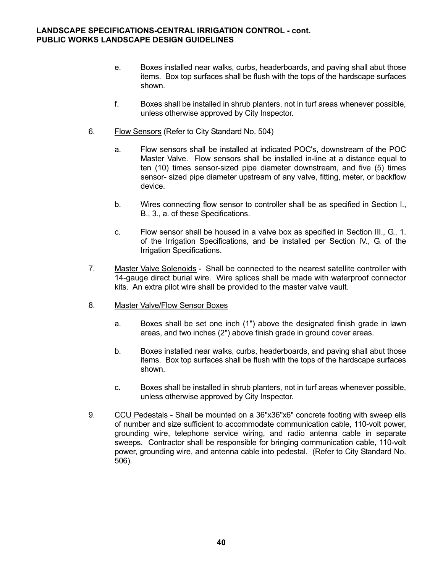- e. Boxes installed near walks, curbs, headerboards, and paving shall abut those items. Box top surfaces shall be flush with the tops of the hardscape surfaces shown.
- f. Boxes shall be installed in shrub planters, not in turf areas whenever possible, unless otherwise approved by City Inspector.
- 6. Flow Sensors (Refer to City Standard No. 504)
	- a. Flow sensors shall be installed at indicated POC's, downstream of the POC Master Valve. Flow sensors shall be installed in-line at a distance equal to ten (10) times sensor-sized pipe diameter downstream, and five (5) times sensor- sized pipe diameter upstream of any valve, fitting, meter, or backflow device.
	- b. Wires connecting flow sensor to controller shall be as specified in Section I., B., 3., a. of these Specifications.
	- c. Flow sensor shall be housed in a valve box as specified in Section III., G., 1. of the Irrigation Specifications, and be installed per Section IV., G. of the Irrigation Specifications.
- 7. Master Valve Solenoids Shall be connected to the nearest satellite controller with 14-gauge direct burial wire. Wire splices shall be made with waterproof connector kits. An extra pilot wire shall be provided to the master valve vault.
- 8. Master Valve/Flow Sensor Boxes
	- a. Boxes shall be set one inch (1") above the designated finish grade in lawn areas, and two inches (2") above finish grade in ground cover areas.
	- b. Boxes installed near walks, curbs, headerboards, and paving shall abut those items. Box top surfaces shall be flush with the tops of the hardscape surfaces shown.
	- c. Boxes shall be installed in shrub planters, not in turf areas whenever possible, unless otherwise approved by City Inspector.
- 9. CCU Pedestals Shall be mounted on a 36"x36"x6" concrete footing with sweep ells of number and size sufficient to accommodate communication cable, 110-volt power, grounding wire, telephone service wiring, and radio antenna cable in separate sweeps. Contractor shall be responsible for bringing communication cable, 110-volt power, grounding wire, and antenna cable into pedestal. (Refer to City Standard No. 506).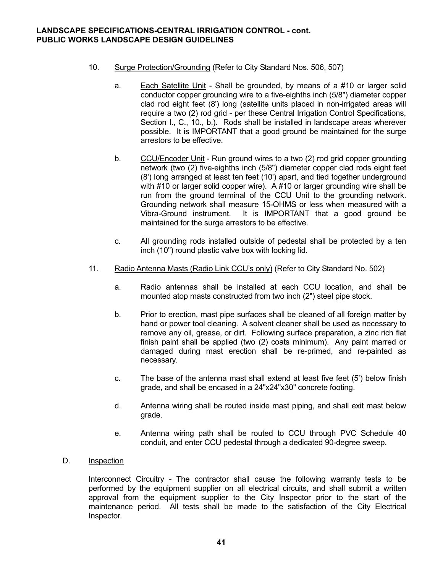- 10. Surge Protection/Grounding (Refer to City Standard Nos. 506, 507)
	- a. Each Satellite Unit Shall be grounded, by means of a #10 or larger solid conductor copper grounding wire to a five-eighths inch (5/8") diameter copper clad rod eight feet (8') long (satellite units placed in non-irrigated areas will require a two (2) rod grid - per these Central Irrigation Control Specifications, Section I., C., 10., b.). Rods shall be installed in landscape areas wherever possible. It is IMPORTANT that a good ground be maintained for the surge arrestors to be effective.
	- b. CCU/Encoder Unit Run ground wires to a two (2) rod grid copper grounding network (two (2) five-eighths inch (5/8") diameter copper clad rods eight feet (8') long arranged at least ten feet (10') apart, and tied together underground with #10 or larger solid copper wire). A #10 or larger grounding wire shall be run from the ground terminal of the CCU Unit to the grounding network. Grounding network shall measure 15-OHMS or less when measured with a Vibra-Ground instrument. It is IMPORTANT that a good ground be maintained for the surge arrestors to be effective.
	- c. All grounding rods installed outside of pedestal shall be protected by a ten inch (10") round plastic valve box with locking lid.
- 11. Radio Antenna Masts (Radio Link CCU's only) (Refer to City Standard No. 502)
	- a. Radio antennas shall be installed at each CCU location, and shall be mounted atop masts constructed from two inch (2") steel pipe stock.
	- b. Prior to erection, mast pipe surfaces shall be cleaned of all foreign matter by hand or power tool cleaning. A solvent cleaner shall be used as necessary to remove any oil, grease, or dirt. Following surface preparation, a zinc rich flat finish paint shall be applied (two (2) coats minimum). Any paint marred or damaged during mast erection shall be re-primed, and re-painted as necessary.
	- c. The base of the antenna mast shall extend at least five feet (5') below finish grade, and shall be encased in a 24"x24"x30" concrete footing.
	- d. Antenna wiring shall be routed inside mast piping, and shall exit mast below grade.
	- e. Antenna wiring path shall be routed to CCU through PVC Schedule 40 conduit, and enter CCU pedestal through a dedicated 90-degree sweep.

#### D. Inspection

 Interconnect Circuitry - The contractor shall cause the following warranty tests to be performed by the equipment supplier on all electrical circuits, and shall submit a written approval from the equipment supplier to the City Inspector prior to the start of the maintenance period. All tests shall be made to the satisfaction of the City Electrical Inspector.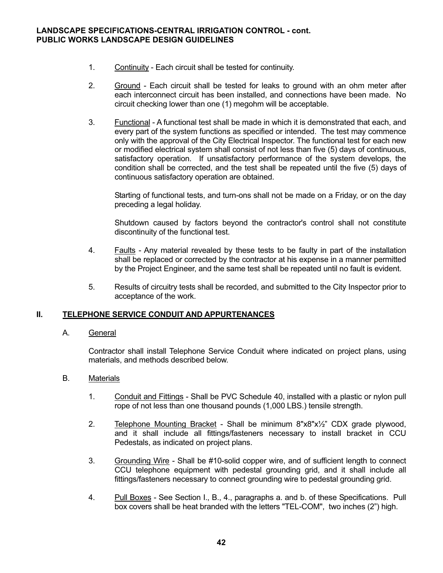- 1. Continuity Each circuit shall be tested for continuity.
- 2. Ground Each circuit shall be tested for leaks to ground with an ohm meter after each interconnect circuit has been installed, and connections have been made. No circuit checking lower than one (1) megohm will be acceptable.
- 3. Functional A functional test shall be made in which it is demonstrated that each, and every part of the system functions as specified or intended. The test may commence only with the approval of the City Electrical Inspector. The functional test for each new or modified electrical system shall consist of not less than five (5) days of continuous, satisfactory operation. If unsatisfactory performance of the system develops, the condition shall be corrected, and the test shall be repeated until the five (5) days of continuous satisfactory operation are obtained.

 Starting of functional tests, and turn-ons shall not be made on a Friday, or on the day preceding a legal holiday.

 Shutdown caused by factors beyond the contractor's control shall not constitute discontinuity of the functional test.

- 4. Faults Any material revealed by these tests to be faulty in part of the installation shall be replaced or corrected by the contractor at his expense in a manner permitted by the Project Engineer, and the same test shall be repeated until no fault is evident.
- 5. Results of circuitry tests shall be recorded, and submitted to the City Inspector prior to acceptance of the work.

#### **II. TELEPHONE SERVICE CONDUIT AND APPURTENANCES**

#### A. General

 Contractor shall install Telephone Service Conduit where indicated on project plans, using materials, and methods described below.

#### B. Materials

- 1. Conduit and Fittings Shall be PVC Schedule 40, installed with a plastic or nylon pull rope of not less than one thousand pounds (1,000 LBS.) tensile strength.
- 2. Telephone Mounting Bracket Shall be minimum 8"x8"x½" CDX grade plywood, and it shall include all fittings/fasteners necessary to install bracket in CCU Pedestals, as indicated on project plans.
- 3. Grounding Wire Shall be #10-solid copper wire, and of sufficient length to connect CCU telephone equipment with pedestal grounding grid, and it shall include all fittings/fasteners necessary to connect grounding wire to pedestal grounding grid.
- 4. Pull Boxes See Section I., B., 4., paragraphs a. and b. of these Specifications. Pull box covers shall be heat branded with the letters "TEL-COM", two inches (2") high.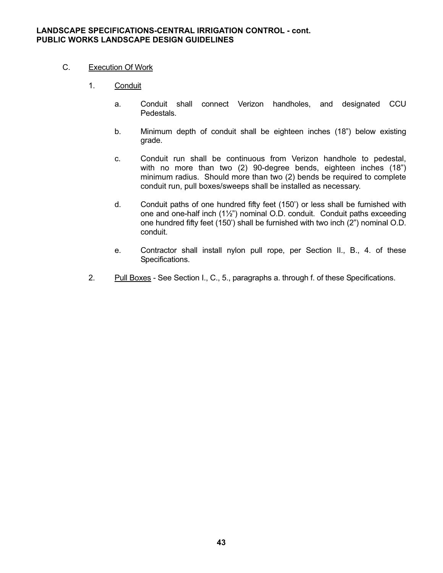# C. Execution Of Work

- 1. Conduit
	- a. Conduit shall connect Verizon handholes, and designated CCU **Pedestals**
	- b. Minimum depth of conduit shall be eighteen inches (18") below existing grade.
	- c. Conduit run shall be continuous from Verizon handhole to pedestal, with no more than two (2) 90-degree bends, eighteen inches (18") minimum radius. Should more than two (2) bends be required to complete conduit run, pull boxes/sweeps shall be installed as necessary.
	- d. Conduit paths of one hundred fifty feet (150') or less shall be furnished with one and one-half inch (1½") nominal O.D. conduit. Conduit paths exceeding one hundred fifty feet (150') shall be furnished with two inch (2") nominal O.D. conduit.
	- e. Contractor shall install nylon pull rope, per Section II., B., 4. of these Specifications.
- 2. Pull Boxes See Section I., C., 5., paragraphs a. through f. of these Specifications.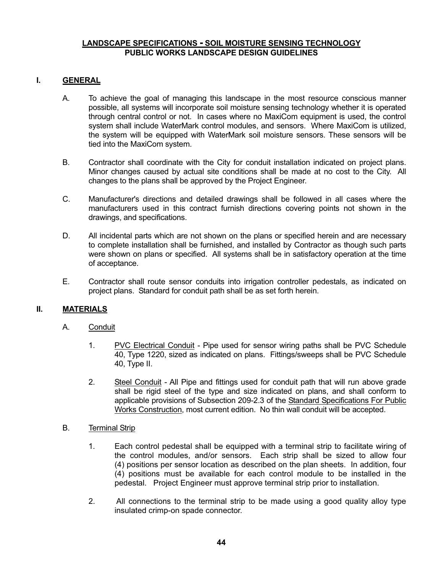# **LANDSCAPE SPECIFICATIONS - SOIL MOISTURE SENSING TECHNOLOGY PUBLIC WORKS LANDSCAPE DESIGN GUIDELINES**

### **I. GENERAL**

- A. To achieve the goal of managing this landscape in the most resource conscious manner possible, all systems will incorporate soil moisture sensing technology whether it is operated through central control or not. In cases where no MaxiCom equipment is used, the control system shall include WaterMark control modules, and sensors. Where MaxiCom is utilized, the system will be equipped with WaterMark soil moisture sensors. These sensors will be tied into the MaxiCom system.
- B. Contractor shall coordinate with the City for conduit installation indicated on project plans. Minor changes caused by actual site conditions shall be made at no cost to the City. All changes to the plans shall be approved by the Project Engineer.
- C. Manufacturer's directions and detailed drawings shall be followed in all cases where the manufacturers used in this contract furnish directions covering points not shown in the drawings, and specifications.
- D. All incidental parts which are not shown on the plans or specified herein and are necessary to complete installation shall be furnished, and installed by Contractor as though such parts were shown on plans or specified. All systems shall be in satisfactory operation at the time of acceptance.
- E. Contractor shall route sensor conduits into irrigation controller pedestals, as indicated on project plans. Standard for conduit path shall be as set forth herein.

#### **II. MATERIALS**

- A. Conduit
	- 1. PVC Electrical Conduit Pipe used for sensor wiring paths shall be PVC Schedule 40, Type 1220, sized as indicated on plans. Fittings/sweeps shall be PVC Schedule 40, Type II.
	- 2. Steel Conduit All Pipe and fittings used for conduit path that will run above grade shall be rigid steel of the type and size indicated on plans, and shall conform to applicable provisions of Subsection 209-2.3 of the Standard Specifications For Public Works Construction, most current edition. No thin wall conduit will be accepted.

#### B. Terminal Strip

- 1. Each control pedestal shall be equipped with a terminal strip to facilitate wiring of the control modules, and/or sensors. Each strip shall be sized to allow four (4) positions per sensor location as described on the plan sheets. In addition, four (4) positions must be available for each control module to be installed in the pedestal. Project Engineer must approve terminal strip prior to installation.
- 2. All connections to the terminal strip to be made using a good quality alloy type insulated crimp-on spade connector.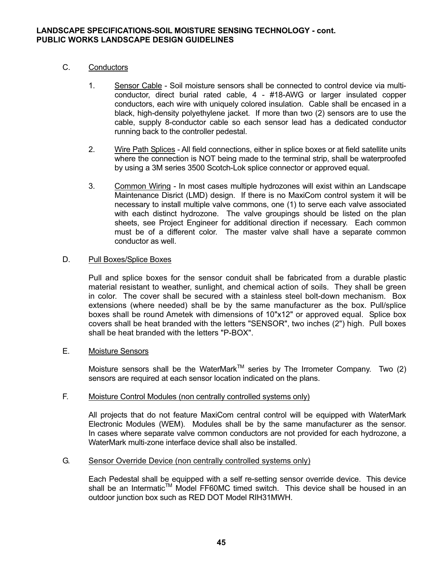# **LANDSCAPE SPECIFICATIONS-SOIL MOISTURE SENSING TECHNOLOGY - cont. PUBLIC WORKS LANDSCAPE DESIGN GUIDELINES**

# C. Conductors

- 1. Sensor Cable Soil moisture sensors shall be connected to control device via multi conductor, direct burial rated cable, 4 - #18-AWG or larger insulated copper conductors, each wire with uniquely colored insulation. Cable shall be encased in a black, high-density polyethylene jacket. If more than two (2) sensors are to use the cable, supply 8-conductor cable so each sensor lead has a dedicated conductor running back to the controller pedestal.
- 2. Wire Path Splices All field connections, either in splice boxes or at field satellite units where the connection is NOT being made to the terminal strip, shall be waterproofed by using a 3M series 3500 Scotch-Lok splice connector or approved equal.
- 3. Common Wiring In most cases multiple hydrozones will exist within an Landscape Maintenance Disrict (LMD) design. If there is no MaxiCom control system it will be necessary to install multiple valve commons, one (1) to serve each valve associated with each distinct hydrozone. The valve groupings should be listed on the plan sheets, see Project Engineer for additional direction if necessary. Each common must be of a different color. The master valve shall have a separate common conductor as well.

# D. Pull Boxes/Splice Boxes

 Pull and splice boxes for the sensor conduit shall be fabricated from a durable plastic material resistant to weather, sunlight, and chemical action of soils. They shall be green in color. The cover shall be secured with a stainless steel bolt-down mechanism. Box extensions (where needed) shall be by the same manufacturer as the box. Pull/splice boxes shall be round Ametek with dimensions of 10"x12" or approved equal. Splice box covers shall be heat branded with the letters "SENSOR", two inches (2") high. Pull boxes shall be heat branded with the letters "P-BOX".

# E. Moisture Sensors

Moisture sensors shall be the WaterMark™ series by The Irrometer Company. Two (2) sensors are required at each sensor location indicated on the plans.

#### F. Moisture Control Modules (non centrally controlled systems only)

 All projects that do not feature MaxiCom central control will be equipped with WaterMark Electronic Modules (WEM). Modules shall be by the same manufacturer as the sensor. In cases where separate valve common conductors are not provided for each hydrozone, a WaterMark multi-zone interface device shall also be installed.

#### G. Sensor Override Device (non centrally controlled systems only)

 Each Pedestal shall be equipped with a self re-setting sensor override device. This device shall be an Intermatic<sup>™</sup> Model FF60MC timed switch. This device shall be housed in an outdoor junction box such as RED DOT Model RIH31MWH.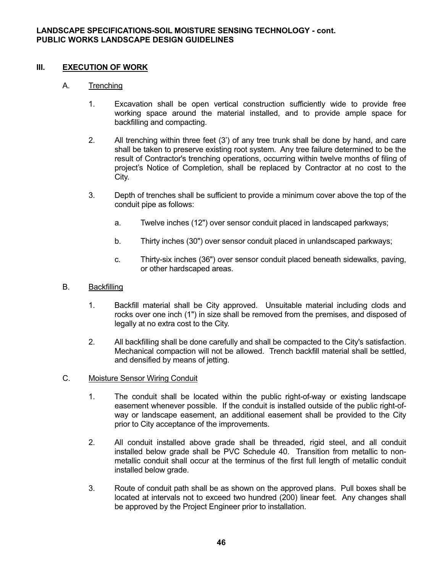# **III. EXECUTION OF WORK**

# A. Trenching

- 1. Excavation shall be open vertical construction sufficiently wide to provide free working space around the material installed, and to provide ample space for backfilling and compacting.
- 2. All trenching within three feet (3') of any tree trunk shall be done by hand, and care shall be taken to preserve existing root system. Any tree failure determined to be the result of Contractor's trenching operations, occurring within twelve months of filing of project's Notice of Completion, shall be replaced by Contractor at no cost to the City.
- 3. Depth of trenches shall be sufficient to provide a minimum cover above the top of the conduit pipe as follows:
	- a. Twelve inches (12") over sensor conduit placed in landscaped parkways;
	- b. Thirty inches (30") over sensor conduit placed in unlandscaped parkways;
	- c. Thirty-six inches (36") over sensor conduit placed beneath sidewalks, paving, or other hardscaped areas.

# B. Backfilling

- 1. Backfill material shall be City approved. Unsuitable material including clods and rocks over one inch (1") in size shall be removed from the premises, and disposed of legally at no extra cost to the City.
- 2. All backfilling shall be done carefully and shall be compacted to the City's satisfaction. Mechanical compaction will not be allowed. Trench backfill material shall be settled, and densified by means of jetting.

# C. Moisture Sensor Wiring Conduit

- 1. The conduit shall be located within the public right-of-way or existing landscape easement whenever possible. If the conduit is installed outside of the public right-of way or landscape easement, an additional easement shall be provided to the City prior to City acceptance of the improvements.
- 2. All conduit installed above grade shall be threaded, rigid steel, and all conduit installed below grade shall be PVC Schedule 40. Transition from metallic to non metallic conduit shall occur at the terminus of the first full length of metallic conduit installed below grade.
- 3. Route of conduit path shall be as shown on the approved plans. Pull boxes shall be located at intervals not to exceed two hundred (200) linear feet. Any changes shall be approved by the Project Engineer prior to installation.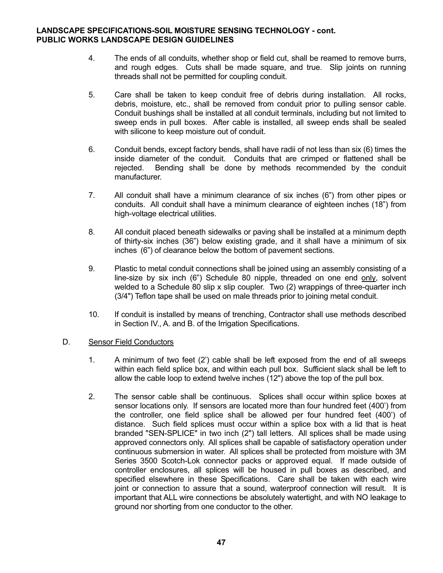### **LANDSCAPE SPECIFICATIONS-SOIL MOISTURE SENSING TECHNOLOGY - cont. PUBLIC WORKS LANDSCAPE DESIGN GUIDELINES**

- 4. The ends of all conduits, whether shop or field cut, shall be reamed to remove burrs, and rough edges. Cuts shall be made square, and true. Slip joints on running threads shall not be permitted for coupling conduit.
- 5. Care shall be taken to keep conduit free of debris during installation. All rocks, debris, moisture, etc., shall be removed from conduit prior to pulling sensor cable. Conduit bushings shall be installed at all conduit terminals, including but not limited to sweep ends in pull boxes. After cable is installed, all sweep ends shall be sealed with silicone to keep moisture out of conduit.
- 6. Conduit bends, except factory bends, shall have radii of not less than six (6) times the inside diameter of the conduit. Conduits that are crimped or flattened shall be rejected. Bending shall be done by methods recommended by the conduit manufacturer.
- 7. All conduit shall have a minimum clearance of six inches (6") from other pipes or conduits. All conduit shall have a minimum clearance of eighteen inches (18") from high-voltage electrical utilities.
- 8. All conduit placed beneath sidewalks or paving shall be installed at a minimum depth of thirty-six inches (36") below existing grade, and it shall have a minimum of six inches (6") of clearance below the bottom of pavement sections.
- 9. Plastic to metal conduit connections shall be joined using an assembly consisting of a line-size by six inch (6") Schedule 80 nipple, threaded on one end only, solvent welded to a Schedule 80 slip x slip coupler. Two (2) wrappings of three-quarter inch (3/4") Teflon tape shall be used on male threads prior to joining metal conduit.
- 10. If conduit is installed by means of trenching, Contractor shall use methods described in Section IV., A. and B. of the Irrigation Specifications.

# D. Sensor Field Conductors

- 1. A minimum of two feet (2') cable shall be left exposed from the end of all sweeps within each field splice box, and within each pull box. Sufficient slack shall be left to allow the cable loop to extend twelve inches (12") above the top of the pull box.
- 2. The sensor cable shall be continuous. Splices shall occur within splice boxes at sensor locations only. If sensors are located more than four hundred feet (400') from the controller, one field splice shall be allowed per four hundred feet (400') of distance. Such field splices must occur within a splice box with a lid that is heat branded "SEN-SPLICE" in two inch (2") tall letters. All splices shall be made using approved connectors only. All splices shall be capable of satisfactory operation under continuous submersion in water. All splices shall be protected from moisture with 3M Series 3500 Scotch-Lok connector packs or approved equal. If made outside of controller enclosures, all splices will be housed in pull boxes as described, and specified elsewhere in these Specifications. Care shall be taken with each wire joint or connection to assure that a sound, waterproof connection will result. It is important that ALL wire connections be absolutely watertight, and with NO leakage to ground nor shorting from one conductor to the other.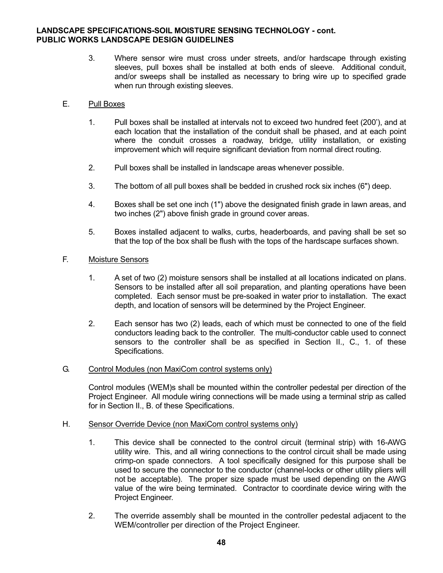# **LANDSCAPE SPECIFICATIONS-SOIL MOISTURE SENSING TECHNOLOGY - cont. PUBLIC WORKS LANDSCAPE DESIGN GUIDELINES**

- 3. Where sensor wire must cross under streets, and/or hardscape through existing sleeves, pull boxes shall be installed at both ends of sleeve. Additional conduit, and/or sweeps shall be installed as necessary to bring wire up to specified grade when run through existing sleeves.
- E. Pull Boxes
	- 1. Pull boxes shall be installed at intervals not to exceed two hundred feet (200'), and at each location that the installation of the conduit shall be phased, and at each point where the conduit crosses a roadway, bridge, utility installation, or existing improvement which will require significant deviation from normal direct routing.
	- 2. Pull boxes shall be installed in landscape areas whenever possible.
	- 3. The bottom of all pull boxes shall be bedded in crushed rock six inches (6") deep.
	- 4. Boxes shall be set one inch (1") above the designated finish grade in lawn areas, and two inches (2") above finish grade in ground cover areas.
	- 5. Boxes installed adjacent to walks, curbs, headerboards, and paving shall be set so that the top of the box shall be flush with the tops of the hardscape surfaces shown.

### F. Moisture Sensors

- 1. A set of two (2) moisture sensors shall be installed at all locations indicated on plans. Sensors to be installed after all soil preparation, and planting operations have been completed. Each sensor must be pre-soaked in water prior to installation. The exact depth, and location of sensors will be determined by the Project Engineer.
- 2. Each sensor has two (2) leads, each of which must be connected to one of the field conductors leading back to the controller. The multi-conductor cable used to connect sensors to the controller shall be as specified in Section II., C., 1. of these Specifications.

#### G. Control Modules (non MaxiCom control systems only)

 Control modules (WEM)s shall be mounted within the controller pedestal per direction of the Project Engineer. All module wiring connections will be made using a terminal strip as called for in Section II., B. of these Specifications.

#### H. Sensor Override Device (non MaxiCom control systems only)

- 1. This device shall be connected to the control circuit (terminal strip) with 16-AWG utility wire. This, and all wiring connections to the control circuit shall be made using crimp-on spade connectors. A tool specifically designed for this purpose shall be used to secure the connector to the conductor (channel-locks or other utility pliers will not be acceptable). The proper size spade must be used depending on the AWG value of the wire being terminated. Contractor to coordinate device wiring with the Project Engineer.
- 2. The override assembly shall be mounted in the controller pedestal adjacent to the WEM/controller per direction of the Project Engineer.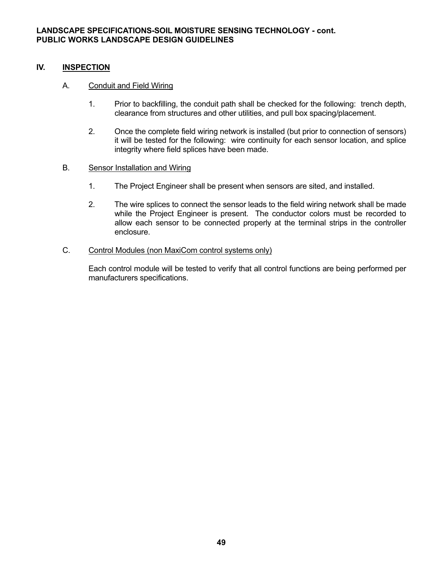# **IV. INSPECTION**

# A. Conduit and Field Wiring

- 1. Prior to backfilling, the conduit path shall be checked for the following: trench depth, clearance from structures and other utilities, and pull box spacing/placement.
- 2. Once the complete field wiring network is installed (but prior to connection of sensors) it will be tested for the following: wire continuity for each sensor location, and splice integrity where field splices have been made.

# B. Sensor Installation and Wiring

- 1. The Project Engineer shall be present when sensors are sited, and installed.
- 2. The wire splices to connect the sensor leads to the field wiring network shall be made while the Project Engineer is present. The conductor colors must be recorded to allow each sensor to be connected properly at the terminal strips in the controller enclosure.

# C. Control Modules (non MaxiCom control systems only)

 Each control module will be tested to verify that all control functions are being performed per manufacturers specifications.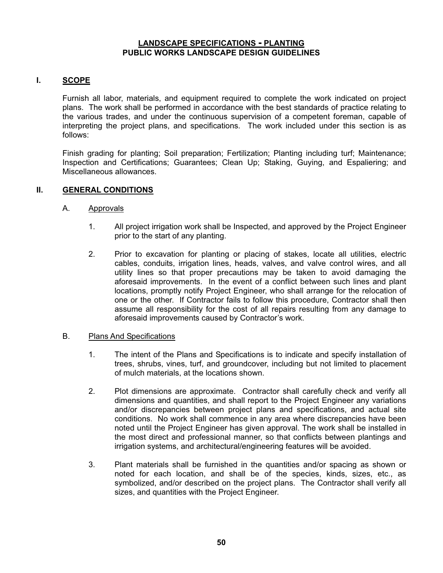# **I. SCOPE**

 Furnish all labor, materials, and equipment required to complete the work indicated on project plans. The work shall be performed in accordance with the best standards of practice relating to the various trades, and under the continuous supervision of a competent foreman, capable of interpreting the project plans, and specifications. The work included under this section is as follows:

Finish grading for planting; Soil preparation; Fertilization; Planting including turf; Maintenance; Inspection and Certifications; Guarantees; Clean Up; Staking, Guying, and Espaliering; and Miscellaneous allowances.

### **II. GENERAL CONDITIONS**

#### A. Approvals

- 1. All project irrigation work shall be Inspected, and approved by the Project Engineer prior to the start of any planting.
- 2. Prior to excavation for planting or placing of stakes, locate all utilities, electric cables, conduits, irrigation lines, heads, valves, and valve control wires, and all utility lines so that proper precautions may be taken to avoid damaging the aforesaid improvements. In the event of a conflict between such lines and plant locations, promptly notify Project Engineer, who shall arrange for the relocation of one or the other. If Contractor fails to follow this procedure, Contractor shall then assume all responsibility for the cost of all repairs resulting from any damage to aforesaid improvements caused by Contractor's work.

#### B. Plans And Specifications

- 1. The intent of the Plans and Specifications is to indicate and specify installation of trees, shrubs, vines, turf, and groundcover, including but not limited to placement of mulch materials, at the locations shown.
- 2. Plot dimensions are approximate. Contractor shall carefully check and verify all dimensions and quantities, and shall report to the Project Engineer any variations and/or discrepancies between project plans and specifications, and actual site conditions. No work shall commence in any area where discrepancies have been noted until the Project Engineer has given approval. The work shall be installed in the most direct and professional manner, so that conflicts between plantings and irrigation systems, and architectural/engineering features will be avoided.
- 3. Plant materials shall be furnished in the quantities and/or spacing as shown or noted for each location, and shall be of the species, kinds, sizes, etc., as symbolized, and/or described on the project plans. The Contractor shall verify all sizes, and quantities with the Project Engineer.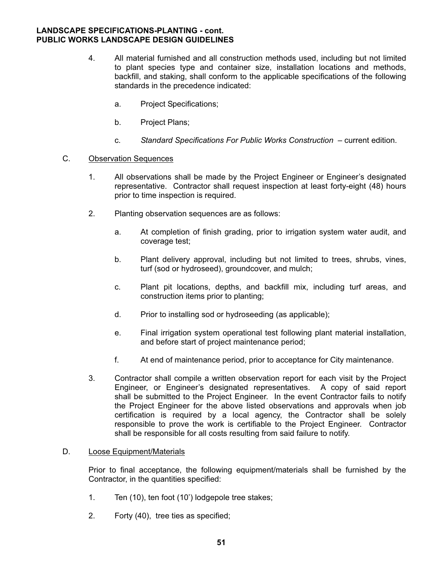- 4. All material furnished and all construction methods used, including but not limited to plant species type and container size, installation locations and methods, backfill, and staking, shall conform to the applicable specifications of the following standards in the precedence indicated:
	- a. Project Specifications;
	- b. Project Plans;
	- c. *Standard Specifications For Public Works Construction* current edition.

# C. Observation Sequences

- 1. All observations shall be made by the Project Engineer or Engineer's designated representative. Contractor shall request inspection at least forty-eight (48) hours prior to time inspection is required.
- 2. Planting observation sequences are as follows:
	- a. At completion of finish grading, prior to irrigation system water audit, and coverage test;
	- b. Plant delivery approval, including but not limited to trees, shrubs, vines, turf (sod or hydroseed), groundcover, and mulch;
	- c. Plant pit locations, depths, and backfill mix, including turf areas, and construction items prior to planting;
	- d. Prior to installing sod or hydroseeding (as applicable);
	- e. Final irrigation system operational test following plant material installation, and before start of project maintenance period;
	- f. At end of maintenance period, prior to acceptance for City maintenance.
- 3. Contractor shall compile a written observation report for each visit by the Project Engineer, or Engineer's designated representatives. A copy of said report shall be submitted to the Project Engineer. In the event Contractor fails to notify the Project Engineer for the above listed observations and approvals when job certification is required by a local agency, the Contractor shall be solely responsible to prove the work is certifiable to the Project Engineer. Contractor shall be responsible for all costs resulting from said failure to notify.

# D. Loose Equipment/Materials

 Prior to final acceptance, the following equipment/materials shall be furnished by the Contractor, in the quantities specified:

- 1. Ten (10), ten foot (10') lodgepole tree stakes;
- 2. Forty (40), tree ties as specified;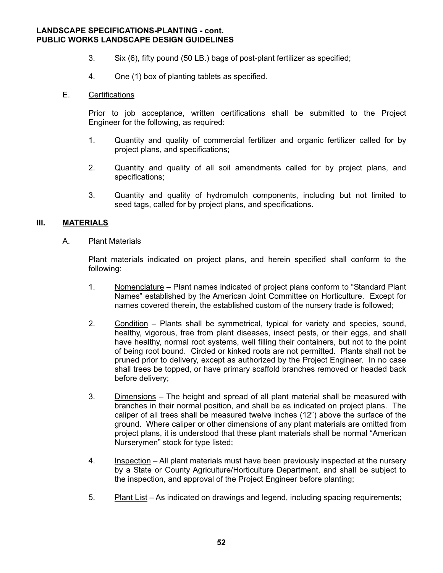- 3. Six (6), fifty pound (50 LB.) bags of post-plant fertilizer as specified;
- 4. One (1) box of planting tablets as specified.

#### E. Certifications

 Prior to job acceptance, written certifications shall be submitted to the Project Engineer for the following, as required:

- 1. Quantity and quality of commercial fertilizer and organic fertilizer called for by project plans, and specifications;
- 2. Quantity and quality of all soil amendments called for by project plans, and specifications;
- 3. Quantity and quality of hydromulch components, including but not limited to seed tags, called for by project plans, and specifications.

# **III. MATERIALS**

A. Plant Materials

 Plant materials indicated on project plans, and herein specified shall conform to the following:

- 1. Nomenclature Plant names indicated of project plans conform to "Standard Plant Names" established by the American Joint Committee on Horticulture. Except for names covered therein, the established custom of the nursery trade is followed;
- 2. Condition Plants shall be symmetrical, typical for variety and species, sound, healthy, vigorous, free from plant diseases, insect pests, or their eggs, and shall have healthy, normal root systems, well filling their containers, but not to the point of being root bound. Circled or kinked roots are not permitted. Plants shall not be pruned prior to delivery, except as authorized by the Project Engineer. In no case shall trees be topped, or have primary scaffold branches removed or headed back before delivery;
- 3. Dimensions The height and spread of all plant material shall be measured with branches in their normal position, and shall be as indicated on project plans. The caliper of all trees shall be measured twelve inches (12") above the surface of the ground. Where caliper or other dimensions of any plant materials are omitted from project plans, it is understood that these plant materials shall be normal "American Nurserymen" stock for type listed;
- 4. Inspection All plant materials must have been previously inspected at the nursery by a State or County Agriculture/Horticulture Department, and shall be subject to the inspection, and approval of the Project Engineer before planting;
- 5. Plant List As indicated on drawings and legend, including spacing requirements;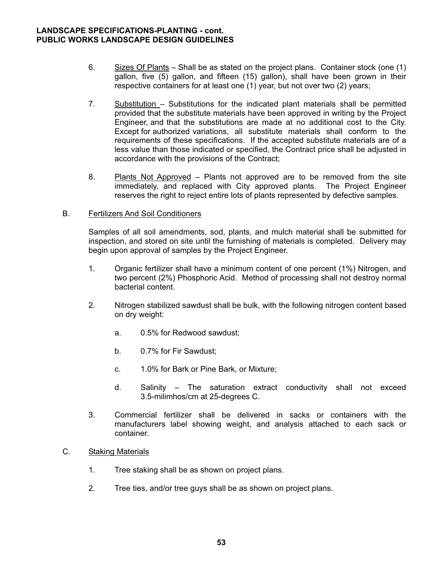- 6. Sizes Of Plants Shall be as stated on the project plans. Container stock (one (1) gallon, five (5) gallon, and fifteen (15) gallon), shall have been grown in their respective containers for at least one (1) year, but not over two (2) years;
- 7. Substitution Substitutions for the indicated plant materials shall be permitted provided that the substitute materials have been approved in writing by the Project Engineer, and that the substitutions are made at no additional cost to the City. Except for authorized variations, all substitute materials shall conform to the requirements of these specifications. If the accepted substitute materials are of a less value than those indicated or specified, the Contract price shall be adjusted in accordance with the provisions of the Contract;
- 8. Plants Not Approved Plants not approved are to be removed from the site immediately, and replaced with City approved plants. The Project Engineer reserves the right to reject entire lots of plants represented by defective samples.

### B. Fertilizers And Soil Conditioners

 Samples of all soil amendments, sod, plants, and mulch material shall be submitted for inspection, and stored on site until the furnishing of materials is completed. Delivery may begin upon approval of samples by the Project Engineer.

- 1. Organic fertilizer shall have a minimum content of one percent (1%) Nitrogen, and two percent (2%) Phosphoric Acid. Method of processing shall not destroy normal bacterial content.
- 2. Nitrogen stabilized sawdust shall be bulk, with the following nitrogen content based on dry weight:
	- a. 0.5% for Redwood sawdust;
	- b. 0.7% for Fir Sawdust;
	- c. 1.0% for Bark or Pine Bark, or Mixture;
	- d. Salinity The saturation extract conductivity shall not exceed 3.5-milimhos/cm at 25-degrees C.
- 3. Commercial fertilizer shall be delivered in sacks or containers with the manufacturers label showing weight, and analysis attached to each sack or container.

# C. Staking Materials

- 1. Tree staking shall be as shown on project plans.
- 2. Tree ties, and/or tree guys shall be as shown on project plans.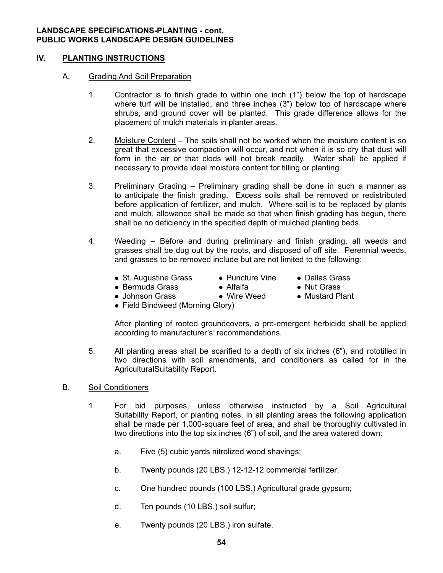# **IV. PLANTING INSTRUCTIONS**

#### A. Grading And Soil Preparation

- 1. Contractor is to finish grade to within one inch (1") below the top of hardscape where turf will be installed, and three inches (3") below top of hardscape where shrubs, and ground cover will be planted. This grade difference allows for the placement of mulch materials in planter areas.
- 2. Moisture Content The soils shall not be worked when the moisture content is so great that excessive compaction will occur, and not when it is so dry that dust will form in the air or that clods will not break readily. Water shall be applied if necessary to provide ideal moisture content for tilling or planting.
- 3. Preliminary Grading Preliminary grading shall be done in such a manner as to anticipate the finish grading. Excess soils shall be removed or redistributed before application of fertilizer, and mulch. Where soil is to be replaced by plants and mulch, allowance shall be made so that when finish grading has begun, there shall be no deficiency in the specified depth of mulched planting beds.
- 4. Weeding Before and during preliminary and finish grading, all weeds and grasses shall be dug out by the roots, and disposed of off site. Perennial weeds, and grasses to be removed include but are not limited to the following:
- **- - - - - - - - -**• St. Augustine Grass
- $\bullet$  Puncture Vine
- Dallas Grass
- **- - - - - - - - -**Bermuda Grass -
- $\bullet$  Alfalfa • Wire Weed
- Nut Grass
- Mustard Plant

• Johnson Grass Field Bindweed (Morning Glory)

 After planting of rooted groundcovers, a pre-emergent herbicide shall be applied according to manufacturer's' recommendations.

- 5. All planting areas shall be scarified to a depth of six inches (6"), and rototilled in two directions with soil amendments, and conditioners as called for in the AgriculturalSuitability Report.
- B. Soil Conditioners

-

-

- 1. For bid purposes, unless otherwise instructed by a Soil Agricultural Suitability Report, or planting notes, in all planting areas the following application shall be made per 1,000-square feet of area, and shall be thoroughly cultivated in two directions into the top six inches (6") of soil, and the area watered down:
	- a. Five (5) cubic yards nitrolized wood shavings;
	- b. Twenty pounds (20 LBS.) 12-12-12 commercial fertilizer;
	- c. One hundred pounds (100 LBS.) Agricultural grade gypsum;
	- d. Ten pounds (10 LBS.) soil sulfur;
	- e. Twenty pounds (20 LBS.) iron sulfate.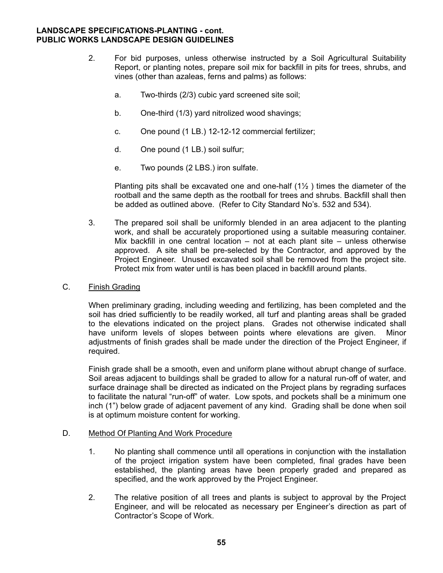- 2. For bid purposes, unless otherwise instructed by a Soil Agricultural Suitability Report, or planting notes, prepare soil mix for backfill in pits for trees, shrubs, and vines (other than azaleas, ferns and palms) as follows:
	- a. Two-thirds (2/3) cubic yard screened site soil;
	- b. One-third (1/3) yard nitrolized wood shavings;
	- c. One pound (1 LB.) 12-12-12 commercial fertilizer;
	- d. One pound (1 LB.) soil sulfur;
	- e. Two pounds (2 LBS.) iron sulfate.

Planting pits shall be excavated one and one-half  $(1\frac{1}{2})$  times the diameter of the rootball and the same depth as the rootball for trees and shrubs. Backfill shall then be added as outlined above. (Refer to City Standard No's. 532 and 534).

 3. The prepared soil shall be uniformly blended in an area adjacent to the planting work, and shall be accurately proportioned using a suitable measuring container. Mix backfill in one central location – not at each plant site – unless otherwise approved. A site shall be pre-selected by the Contractor, and approved by the Project Engineer. Unused excavated soil shall be removed from the project site. Protect mix from water until is has been placed in backfill around plants.

#### C. Finish Grading

 When preliminary grading, including weeding and fertilizing, has been completed and the soil has dried sufficiently to be readily worked, all turf and planting areas shall be graded to the elevations indicated on the project plans. Grades not otherwise indicated shall have uniform levels of slopes between points where elevations are given. Minor adjustments of finish grades shall be made under the direction of the Project Engineer, if required.

 Finish grade shall be a smooth, even and uniform plane without abrupt change of surface. Soil areas adjacent to buildings shall be graded to allow for a natural run-off of water, and surface drainage shall be directed as indicated on the Project plans by regrading surfaces to facilitate the natural "run-off" of water. Low spots, and pockets shall be a minimum one inch (1") below grade of adjacent pavement of any kind. Grading shall be done when soil is at optimum moisture content for working.

#### D. Method Of Planting And Work Procedure

- 1. No planting shall commence until all operations in conjunction with the installation of the project irrigation system have been completed, final grades have been established, the planting areas have been properly graded and prepared as specified, and the work approved by the Project Engineer.
- 2. The relative position of all trees and plants is subject to approval by the Project Engineer, and will be relocated as necessary per Engineer's direction as part of Contractor's Scope of Work.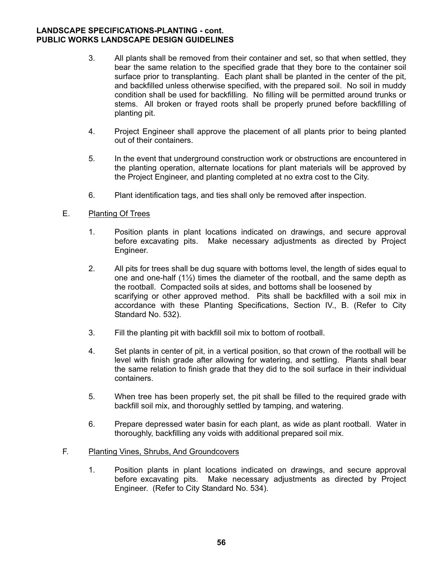- 3. All plants shall be removed from their container and set, so that when settled, they bear the same relation to the specified grade that they bore to the container soil surface prior to transplanting. Each plant shall be planted in the center of the pit, and backfilled unless otherwise specified, with the prepared soil. No soil in muddy condition shall be used for backfilling. No filling will be permitted around trunks or stems. All broken or frayed roots shall be properly pruned before backfilling of planting pit.
- 4. Project Engineer shall approve the placement of all plants prior to being planted out of their containers.
- 5. In the event that underground construction work or obstructions are encountered in the planting operation, alternate locations for plant materials will be approved by the Project Engineer, and planting completed at no extra cost to the City.
- 6. Plant identification tags, and ties shall only be removed after inspection.

### E. Planting Of Trees

- 1. Position plants in plant locations indicated on drawings, and secure approval before excavating pits. Make necessary adjustments as directed by Project Engineer.
- 2. All pits for trees shall be dug square with bottoms level, the length of sides equal to one and one-half  $(1/2)$  times the diameter of the rootball, and the same depth as the rootball. Compacted soils at sides, and bottoms shall be loosened by scarifying or other approved method. Pits shall be backfilled with a soil mix in accordance with these Planting Specifications, Section IV., B. (Refer to City Standard No. 532).
- 3. Fill the planting pit with backfill soil mix to bottom of rootball.
- 4. Set plants in center of pit, in a vertical position, so that crown of the rootball will be level with finish grade after allowing for watering, and settling. Plants shall bear the same relation to finish grade that they did to the soil surface in their individual containers.
- 5. When tree has been properly set, the pit shall be filled to the required grade with backfill soil mix, and thoroughly settled by tamping, and watering.
- 6. Prepare depressed water basin for each plant, as wide as plant rootball. Water in thoroughly, backfilling any voids with additional prepared soil mix.

#### F. Planting Vines, Shrubs, And Groundcovers

 1. Position plants in plant locations indicated on drawings, and secure approval before excavating pits. Make necessary adjustments as directed by Project Engineer. (Refer to City Standard No. 534).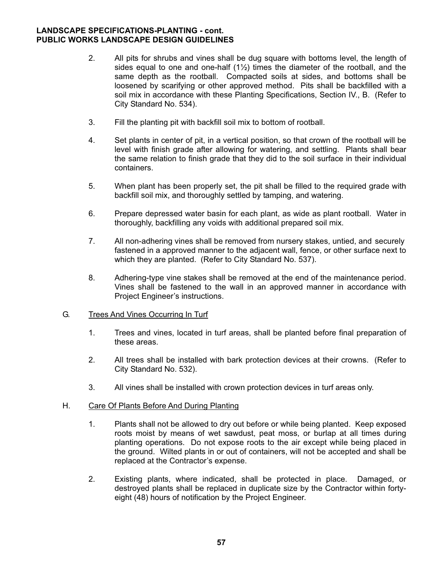- 2. All pits for shrubs and vines shall be dug square with bottoms level, the length of sides equal to one and one-half (1½) times the diameter of the rootball, and the same depth as the rootball. Compacted soils at sides, and bottoms shall be loosened by scarifying or other approved method. Pits shall be backfilled with a soil mix in accordance with these Planting Specifications, Section IV., B. (Refer to City Standard No. 534).
- 3. Fill the planting pit with backfill soil mix to bottom of rootball.
- 4. Set plants in center of pit, in a vertical position, so that crown of the rootball will be level with finish grade after allowing for watering, and settling. Plants shall bear the same relation to finish grade that they did to the soil surface in their individual containers.
- 5. When plant has been properly set, the pit shall be filled to the required grade with backfill soil mix, and thoroughly settled by tamping, and watering.
- 6. Prepare depressed water basin for each plant, as wide as plant rootball. Water in thoroughly, backfilling any voids with additional prepared soil mix.
- 7. All non-adhering vines shall be removed from nursery stakes, untied, and securely fastened in a approved manner to the adjacent wall, fence, or other surface next to which they are planted. (Refer to City Standard No. 537).
- 8. Adhering-type vine stakes shall be removed at the end of the maintenance period. Vines shall be fastened to the wall in an approved manner in accordance with Project Engineer's instructions.

#### G. Trees And Vines Occurring In Turf

- 1. Trees and vines, located in turf areas, shall be planted before final preparation of these areas.
- 2. All trees shall be installed with bark protection devices at their crowns. (Refer to City Standard No. 532).
- 3. All vines shall be installed with crown protection devices in turf areas only.

#### H. Care Of Plants Before And During Planting

- 1. Plants shall not be allowed to dry out before or while being planted. Keep exposed roots moist by means of wet sawdust, peat moss, or burlap at all times during planting operations. Do not expose roots to the air except while being placed in the ground. Wilted plants in or out of containers, will not be accepted and shall be replaced at the Contractor's expense.
- 2. Existing plants, where indicated, shall be protected in place. Damaged, or destroyed plants shall be replaced in duplicate size by the Contractor within forty eight (48) hours of notification by the Project Engineer.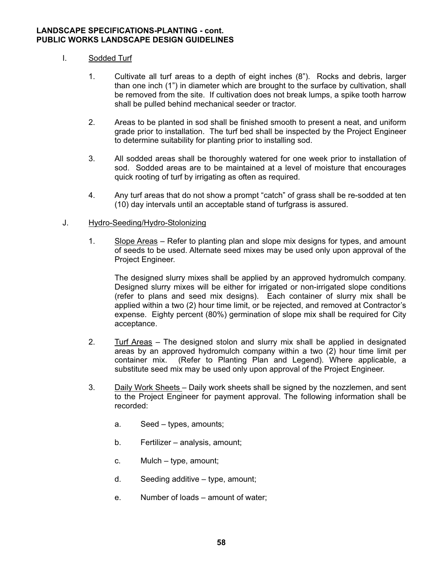# I. Sodded Turf

- 1. Cultivate all turf areas to a depth of eight inches (8"). Rocks and debris, larger than one inch (1") in diameter which are brought to the surface by cultivation, shall be removed from the site. If cultivation does not break lumps, a spike tooth harrow shall be pulled behind mechanical seeder or tractor.
- 2. Areas to be planted in sod shall be finished smooth to present a neat, and uniform grade prior to installation. The turf bed shall be inspected by the Project Engineer to determine suitability for planting prior to installing sod.
- 3. All sodded areas shall be thoroughly watered for one week prior to installation of sod. Sodded areas are to be maintained at a level of moisture that encourages quick rooting of turf by irrigating as often as required.
- 4. Any turf areas that do not show a prompt "catch" of grass shall be re-sodded at ten (10) day intervals until an acceptable stand of turfgrass is assured.

### J. Hydro-Seeding/Hydro-Stolonizing

 1. Slope Areas – Refer to planting plan and slope mix designs for types, and amount of seeds to be used. Alternate seed mixes may be used only upon approval of the Project Engineer.

 The designed slurry mixes shall be applied by an approved hydromulch company. Designed slurry mixes will be either for irrigated or non-irrigated slope conditions (refer to plans and seed mix designs). Each container of slurry mix shall be applied within a two (2) hour time limit, or be rejected, and removed at Contractor's expense. Eighty percent (80%) germination of slope mix shall be required for City acceptance.

- 2. Turf Areas The designed stolon and slurry mix shall be applied in designated areas by an approved hydromulch company within a two (2) hour time limit per container mix. (Refer to Planting Plan and Legend). Where applicable, a substitute seed mix may be used only upon approval of the Project Engineer.
- 3. Daily Work Sheets Daily work sheets shall be signed by the nozzlemen, and sent to the Project Engineer for payment approval. The following information shall be recorded:
	- a. Seed types, amounts;
	- b. Fertilizer analysis, amount;
	- c. Mulch type, amount;
	- d. Seeding additive type, amount;
	- e. Number of loads amount of water;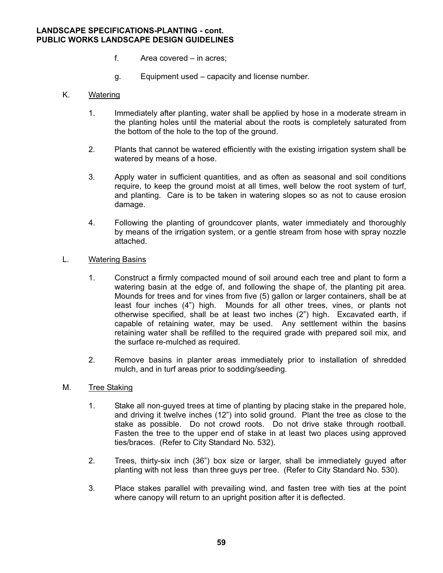- f. Area covered in acres;
- g. Equipment used capacity and license number.

### K. Watering

- 1. Immediately after planting, water shall be applied by hose in a moderate stream in the planting holes until the material about the roots is completely saturated from the bottom of the hole to the top of the ground.
- 2. Plants that cannot be watered efficiently with the existing irrigation system shall be watered by means of a hose.
- 3. Apply water in sufficient quantities, and as often as seasonal and soil conditions require, to keep the ground moist at all times, well below the root system of turf, and planting. Care is to be taken in watering slopes so as not to cause erosion damage.
- 4. Following the planting of groundcover plants, water immediately and thoroughly by means of the irrigation system, or a gentle stream from hose with spray nozzle attached.

#### L. Watering Basins

- 1. Construct a firmly compacted mound of soil around each tree and plant to form a watering basin at the edge of, and following the shape of, the planting pit area. Mounds for trees and for vines from five (5) gallon or larger containers, shall be at least four inches (4") high. Mounds for all other trees, vines, or plants not otherwise specified, shall be at least two inches (2") high. Excavated earth, if capable of retaining water, may be used. Any settlement within the basins retaining water shall be refilled to the required grade with prepared soil mix, and the surface re-mulched as required.
- 2. Remove basins in planter areas immediately prior to installation of shredded mulch, and in turf areas prior to sodding/seeding.

#### M. Tree Staking

- 1. Stake all non-guyed trees at time of planting by placing stake in the prepared hole, and driving it twelve inches (12") into solid ground. Plant the tree as close to the stake as possible. Do not crowd roots. Do not drive stake through rootball. Fasten the tree to the upper end of stake in at least two places using approved ties/braces. (Refer to City Standard No. 532).
- 2. Trees, thirty-six inch (36") box size or larger, shall be immediately guyed after planting with not less than three guys per tree. (Refer to City Standard No. 530).
- 3. Place stakes parallel with prevailing wind, and fasten tree with ties at the point where canopy will return to an upright position after it is deflected.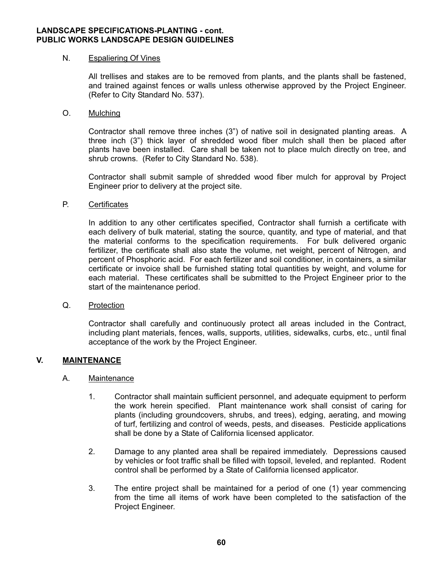#### N. Espaliering Of Vines

 All trellises and stakes are to be removed from plants, and the plants shall be fastened, and trained against fences or walls unless otherwise approved by the Project Engineer. (Refer to City Standard No. 537).

### O. Mulching

 Contractor shall remove three inches (3") of native soil in designated planting areas. A three inch (3") thick layer of shredded wood fiber mulch shall then be placed after plants have been installed. Care shall be taken not to place mulch directly on tree, and shrub crowns. (Refer to City Standard No. 538).

 Contractor shall submit sample of shredded wood fiber mulch for approval by Project Engineer prior to delivery at the project site.

### P. Certificates

 In addition to any other certificates specified, Contractor shall furnish a certificate with each delivery of bulk material, stating the source, quantity, and type of material, and that the material conforms to the specification requirements. For bulk delivered organic fertilizer, the certificate shall also state the volume, net weight, percent of Nitrogen, and percent of Phosphoric acid. For each fertilizer and soil conditioner, in containers, a similar certificate or invoice shall be furnished stating total quantities by weight, and volume for each material. These certificates shall be submitted to the Project Engineer prior to the start of the maintenance period.

#### Q. Protection

 Contractor shall carefully and continuously protect all areas included in the Contract, including plant materials, fences, walls, supports, utilities, sidewalks, curbs, etc., until final acceptance of the work by the Project Engineer.

# **V. MAINTENANCE**

# A. Maintenance

- 1. Contractor shall maintain sufficient personnel, and adequate equipment to perform the work herein specified. Plant maintenance work shall consist of caring for plants (including groundcovers, shrubs, and trees), edging, aerating, and mowing of turf, fertilizing and control of weeds, pests, and diseases. Pesticide applications shall be done by a State of California licensed applicator.
- 2. Damage to any planted area shall be repaired immediately. Depressions caused by vehicles or foot traffic shall be filled with topsoil, leveled, and replanted. Rodent control shall be performed by a State of California licensed applicator.
- 3. The entire project shall be maintained for a period of one (1) year commencing from the time all items of work have been completed to the satisfaction of the Project Engineer.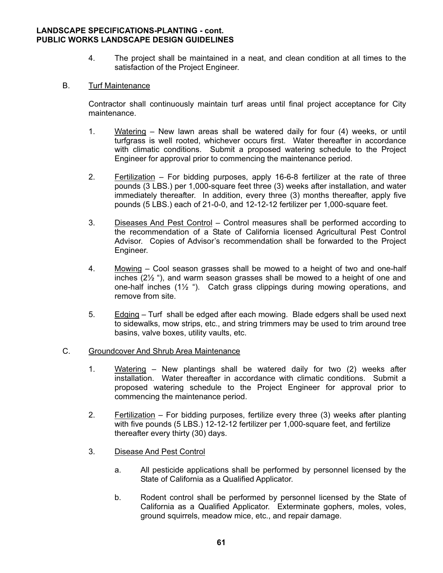4. The project shall be maintained in a neat, and clean condition at all times to the satisfaction of the Project Engineer.

# B. Turf Maintenance

Contractor shall continuously maintain turf areas until final project acceptance for City maintenance.

- 1. Watering New lawn areas shall be watered daily for four (4) weeks, or until turfgrass is well rooted, whichever occurs first. Water thereafter in accordance with climatic conditions. Submit a proposed watering schedule to the Project Engineer for approval prior to commencing the maintenance period.
- 2. Fertilization For bidding purposes, apply 16-6-8 fertilizer at the rate of three pounds (3 LBS.) per 1,000-square feet three (3) weeks after installation, and water immediately thereafter. In addition, every three (3) months thereafter, apply five pounds (5 LBS.) each of 21-0-0, and 12-12-12 fertilizer per 1,000-square feet.
- 3. Diseases And Pest Control Control measures shall be performed according to the recommendation of a State of California licensed Agricultural Pest Control Advisor. Copies of Advisor's recommendation shall be forwarded to the Project Engineer.
- 4. Mowing Cool season grasses shall be mowed to a height of two and one-half inches (2½ "), and warm season grasses shall be mowed to a height of one and one-half inches (1½ "). Catch grass clippings during mowing operations, and remove from site.
- 5. Edging Turf shall be edged after each mowing. Blade edgers shall be used next to sidewalks, mow strips, etc., and string trimmers may be used to trim around tree basins, valve boxes, utility vaults, etc.

#### C. Groundcover And Shrub Area Maintenance

- 1. Watering New plantings shall be watered daily for two (2) weeks after installation. Water thereafter in accordance with climatic conditions. Submit a proposed watering schedule to the Project Engineer for approval prior to commencing the maintenance period.
- 2. Fertilization For bidding purposes, fertilize every three (3) weeks after planting with five pounds (5 LBS.) 12-12-12 fertilizer per 1,000-square feet, and fertilize thereafter every thirty (30) days.
- 3. Disease And Pest Control
	- a. All pesticide applications shall be performed by personnel licensed by the State of California as a Qualified Applicator.
	- b. Rodent control shall be performed by personnel licensed by the State of California as a Qualified Applicator. Exterminate gophers, moles, voles, ground squirrels, meadow mice, etc., and repair damage.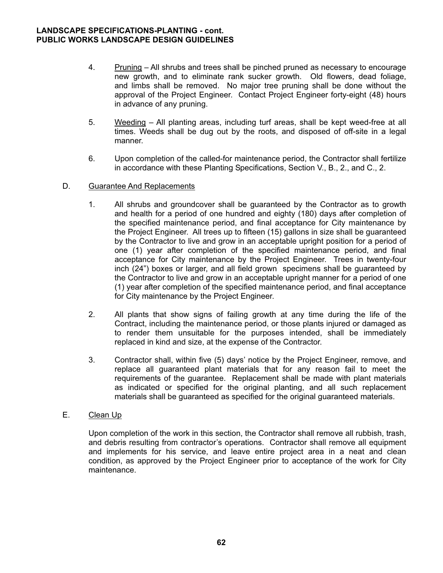- 4. Pruning All shrubs and trees shall be pinched pruned as necessary to encourage new growth, and to eliminate rank sucker growth. Old flowers, dead foliage, and limbs shall be removed. No major tree pruning shall be done without the approval of the Project Engineer. Contact Project Engineer forty-eight (48) hours in advance of any pruning.
- 5. Weeding All planting areas, including turf areas, shall be kept weed-free at all times. Weeds shall be dug out by the roots, and disposed of off-site in a legal manner.
- 6. Upon completion of the called-for maintenance period, the Contractor shall fertilize in accordance with these Planting Specifications, Section V., B., 2., and C., 2.
- D. Guarantee And Replacements
	- 1. All shrubs and groundcover shall be guaranteed by the Contractor as to growth and health for a period of one hundred and eighty (180) days after completion of the specified maintenance period, and final acceptance for City maintenance by the Project Engineer. All trees up to fifteen (15) gallons in size shall be guaranteed by the Contractor to live and grow in an acceptable upright position for a period of one (1) year after completion of the specified maintenance period, and final acceptance for City maintenance by the Project Engineer. Trees in twenty-four inch (24") boxes or larger, and all field grown specimens shall be guaranteed by the Contractor to live and grow in an acceptable upright manner for a period of one (1) year after completion of the specified maintenance period, and final acceptance for City maintenance by the Project Engineer.
	- 2. All plants that show signs of failing growth at any time during the life of the Contract, including the maintenance period, or those plants injured or damaged as to render them unsuitable for the purposes intended, shall be immediately replaced in kind and size, at the expense of the Contractor.
	- 3. Contractor shall, within five (5) days' notice by the Project Engineer, remove, and replace all guaranteed plant materials that for any reason fail to meet the requirements of the quarantee. Replacement shall be made with plant materials as indicated or specified for the original planting, and all such replacement materials shall be guaranteed as specified for the original guaranteed materials.
- E. Clean Up

 Upon completion of the work in this section, the Contractor shall remove all rubbish, trash, and debris resulting from contractor's operations. Contractor shall remove all equipment and implements for his service, and leave entire project area in a neat and clean condition, as approved by the Project Engineer prior to acceptance of the work for City maintenance.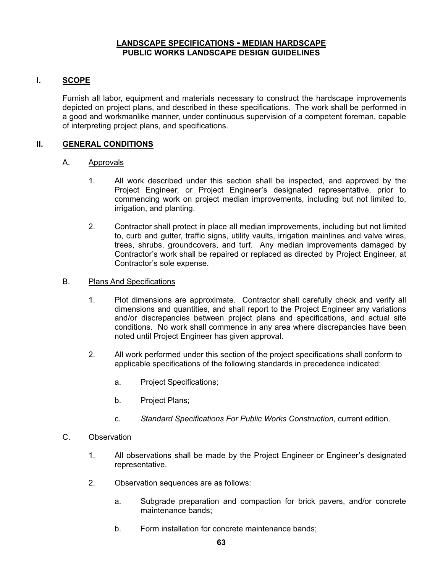# **LANDSCAPE SPECIFICATIONS - MEDIAN HARDSCAPE PUBLIC WORKS LANDSCAPE DESIGN GUIDELINES**

# **I. SCOPE**

Furnish all labor, equipment and materials necessary to construct the hardscape improvements depicted on project plans, and described in these specifications. The work shall be performed in a good and workmanlike manner, under continuous supervision of a competent foreman, capable of interpreting project plans, and specifications.

# **II. GENERAL CONDITIONS**

### A. Approvals

- 1. All work described under this section shall be inspected, and approved by the Project Engineer, or Project Engineer's designated representative, prior to commencing work on project median improvements, including but not limited to, irrigation, and planting.
- 2. Contractor shall protect in place all median improvements, including but not limited to, curb and gutter, traffic signs, utility vaults, irrigation mainlines and valve wires, trees, shrubs, groundcovers, and turf. Any median improvements damaged by Contractor's work shall be repaired or replaced as directed by Project Engineer, at Contractor's sole expense.
- B. Plans And Specifications
	- 1. Plot dimensions are approximate. Contractor shall carefully check and verify all dimensions and quantities, and shall report to the Project Engineer any variations and/or discrepancies between project plans and specifications, and actual site conditions. No work shall commence in any area where discrepancies have been noted until Project Engineer has given approval.
	- 2. All work performed under this section of the project specifications shall conform to applicable specifications of the following standards in precedence indicated:
		- a. Project Specifications;
		- b. Project Plans;
		- c. *Standard Specifications For Public Works Construction*, current edition.

#### C. Observation

- 1. All observations shall be made by the Project Engineer or Engineer's designated representative.
- 2. Observation sequences are as follows:
	- a. Subgrade preparation and compaction for brick pavers, and/or concrete maintenance bands;
	- b. Form installation for concrete maintenance bands;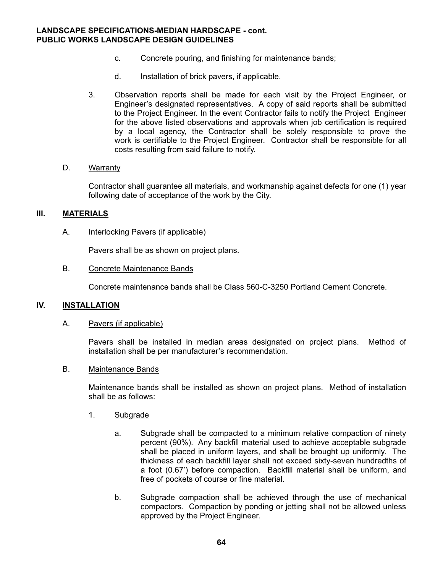#### **LANDSCAPE SPECIFICATIONS-MEDIAN HARDSCAPE - cont. PUBLIC WORKS LANDSCAPE DESIGN GUIDELINES**

- c. Concrete pouring, and finishing for maintenance bands;
- d. Installation of brick pavers, if applicable.
- 3. Observation reports shall be made for each visit by the Project Engineer, or Engineer's designated representatives. A copy of said reports shall be submitted to the Project Engineer. In the event Contractor fails to notify the Project Engineer for the above listed observations and approvals when job certification is required by a local agency, the Contractor shall be solely responsible to prove the work is certifiable to the Project Engineer. Contractor shall be responsible for all costs resulting from said failure to notify.

#### D. Warranty

 Contractor shall guarantee all materials, and workmanship against defects for one (1) year following date of acceptance of the work by the City.

### **III. MATERIALS**

### A. Interlocking Pavers (if applicable)

Pavers shall be as shown on project plans.

#### B. Concrete Maintenance Bands

Concrete maintenance bands shall be Class 560-C-3250 Portland Cement Concrete.

#### **IV. INSTALLATION**

#### A. Pavers (if applicable)

 Pavers shall be installed in median areas designated on project plans. Method of installation shall be per manufacturer's recommendation.

#### B. Maintenance Bands

 Maintenance bands shall be installed as shown on project plans. Method of installation shall be as follows:

#### 1. Subgrade

- a. Subgrade shall be compacted to a minimum relative compaction of ninety percent (90%). Any backfill material used to achieve acceptable subgrade shall be placed in uniform layers, and shall be brought up uniformly. The thickness of each backfill layer shall not exceed sixty-seven hundredths of a foot (0.67') before compaction. Backfill material shall be uniform, and free of pockets of course or fine material.
- b. Subgrade compaction shall be achieved through the use of mechanical compactors. Compaction by ponding or jetting shall not be allowed unless approved by the Project Engineer.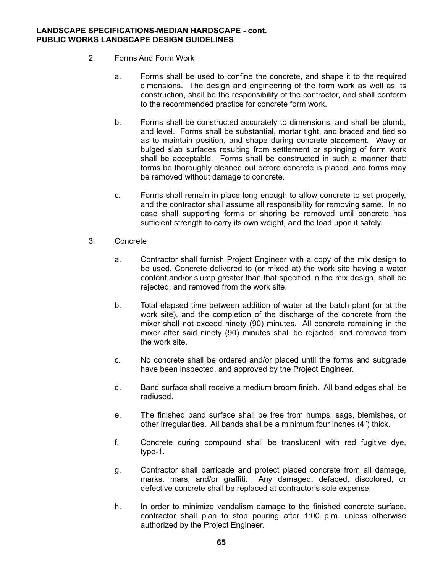# **LANDSCAPE SPECIFICATIONS-MEDIAN HARDSCAPE - cont. PUBLIC WORKS LANDSCAPE DESIGN GUIDELINES**

# 2. Forms And Form Work

- a. Forms shall be used to confine the concrete, and shape it to the required dimensions. The design and engineering of the form work as well as its construction, shall be the responsibility of the contractor, and shall conform to the recommended practice for concrete form work.
- b. Forms shall be constructed accurately to dimensions, and shall be plumb, and level. Forms shall be substantial, mortar tight, and braced and tied so as to maintain position, and shape during concrete placement. Wavy or bulged slab surfaces resulting from settlement or springing of form work shall be acceptable. Forms shall be constructed in such a manner that: forms be thoroughly cleaned out before concrete is placed, and forms may be removed without damage to concrete.
- c. Forms shall remain in place long enough to allow concrete to set properly, and the contractor shall assume all responsibility for removing same. In no case shall supporting forms or shoring be removed until concrete has sufficient strength to carry its own weight, and the load upon it safely.

# 3. Concrete

- a. Contractor shall furnish Project Engineer with a copy of the mix design to be used. Concrete delivered to (or mixed at) the work site having a water content and/or slump greater than that specified in the mix design, shall be rejected, and removed from the work site.
- b. Total elapsed time between addition of water at the batch plant (or at the work site), and the completion of the discharge of the concrete from the mixer shall not exceed ninety (90) minutes. All concrete remaining in the mixer after said ninety (90) minutes shall be rejected, and removed from the work site.
- c. No concrete shall be ordered and/or placed until the forms and subgrade have been inspected, and approved by the Project Engineer.
- d. Band surface shall receive a medium broom finish. All band edges shall be radiused.
- e. The finished band surface shall be free from humps, sags, blemishes, or other irregularities. All bands shall be a minimum four inches (4") thick.
- f. Concrete curing compound shall be translucent with red fugitive dye, type-1.
- g. Contractor shall barricade and protect placed concrete from all damage, marks, mars, and/or graffiti. Any damaged, defaced, discolored, or defective concrete shall be replaced at contractor's sole expense.
- h. In order to minimize vandalism damage to the finished concrete surface, contractor shall plan to stop pouring after 1:00 p.m. unless otherwise authorized by the Project Engineer.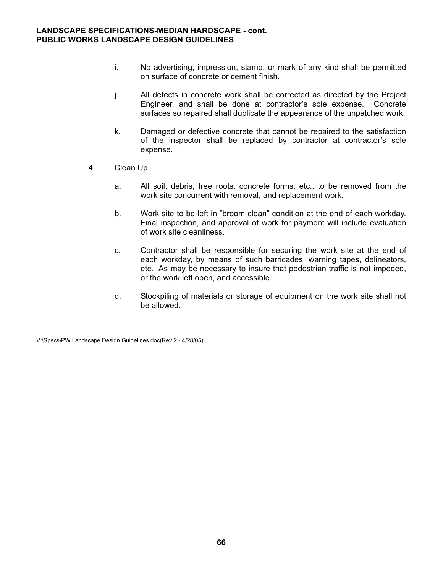- i. No advertising, impression, stamp, or mark of any kind shall be permitted on surface of concrete or cement finish.
- j. All defects in concrete work shall be corrected as directed by the Project Engineer, and shall be done at contractor's sole expense. Concrete surfaces so repaired shall duplicate the appearance of the unpatched work.
- k. Damaged or defective concrete that cannot be repaired to the satisfaction of the inspector shall be replaced by contractor at contractor's sole expense.
- 4. Clean Up
	- a. All soil, debris, tree roots, concrete forms, etc., to be removed from the work site concurrent with removal, and replacement work.
	- b. Work site to be left in "broom clean" condition at the end of each workday. Final inspection, and approval of work for payment will include evaluation of work site cleanliness.
	- c. Contractor shall be responsible for securing the work site at the end of each workday, by means of such barricades, warning tapes, delineators, etc. As may be necessary to insure that pedestrian traffic is not impeded, or the work left open, and accessible.
	- d. Stockpiling of materials or storage of equipment on the work site shall not be allowed.

V:\Specs\PW Landscape Design Guidelines.doc(Rev 2 - 4/28/05)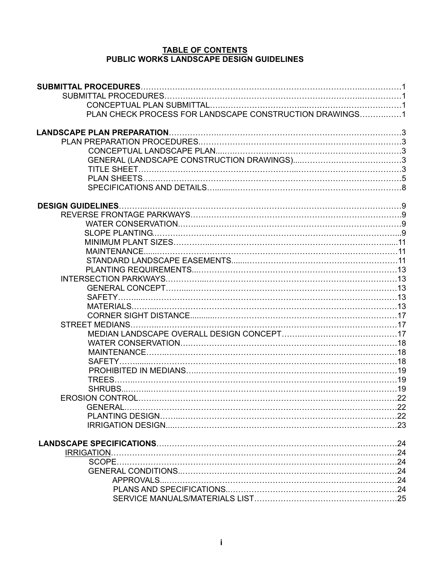# **TABLE OF CONTENTS PUBLIC WORKS LANDSCAPE DESIGN GUIDELINES**

| PLAN CHECK PROCESS FOR LANDSCAPE CONSTRUCTION DRAWINGS1 |  |
|---------------------------------------------------------|--|
|                                                         |  |
|                                                         |  |
|                                                         |  |
|                                                         |  |
|                                                         |  |
|                                                         |  |
|                                                         |  |
|                                                         |  |
|                                                         |  |
| <b>DESIGN GUIDELINES</b>                                |  |
|                                                         |  |
|                                                         |  |
|                                                         |  |
|                                                         |  |
|                                                         |  |
|                                                         |  |
|                                                         |  |
|                                                         |  |
|                                                         |  |
|                                                         |  |
|                                                         |  |
|                                                         |  |
|                                                         |  |
|                                                         |  |
|                                                         |  |
|                                                         |  |
|                                                         |  |
|                                                         |  |
|                                                         |  |
|                                                         |  |
|                                                         |  |
|                                                         |  |
|                                                         |  |
|                                                         |  |
|                                                         |  |
|                                                         |  |
|                                                         |  |
|                                                         |  |
|                                                         |  |
|                                                         |  |
|                                                         |  |
|                                                         |  |
|                                                         |  |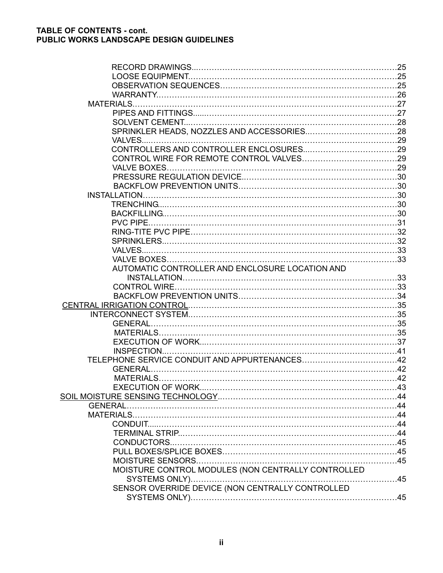| <b>MATERIALS.</b>                                  |  |
|----------------------------------------------------|--|
|                                                    |  |
|                                                    |  |
|                                                    |  |
|                                                    |  |
|                                                    |  |
|                                                    |  |
|                                                    |  |
|                                                    |  |
|                                                    |  |
| <b>INSTALLATION.</b>                               |  |
|                                                    |  |
|                                                    |  |
| PVC PIPE.                                          |  |
|                                                    |  |
|                                                    |  |
|                                                    |  |
|                                                    |  |
| AUTOMATIC CONTROLLER AND ENCLOSURE LOCATION AND    |  |
|                                                    |  |
|                                                    |  |
|                                                    |  |
|                                                    |  |
|                                                    |  |
| <b>GENERAL</b>                                     |  |
|                                                    |  |
|                                                    |  |
| INSPECTION                                         |  |
|                                                    |  |
| <b>GENERAL</b>                                     |  |
|                                                    |  |
|                                                    |  |
|                                                    |  |
| <b>GENERAL</b>                                     |  |
|                                                    |  |
|                                                    |  |
|                                                    |  |
|                                                    |  |
|                                                    |  |
|                                                    |  |
| MOISTURE CONTROL MODULES (NON CENTRALLY CONTROLLED |  |
|                                                    |  |
| SENSOR OVERRIDE DEVICE (NON CENTRALLY CONTROLLED   |  |
|                                                    |  |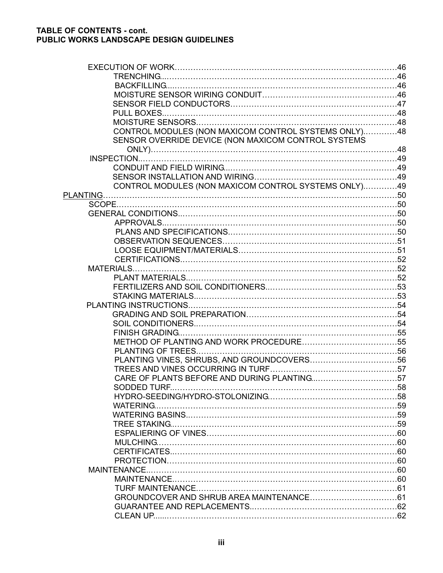| CONTROL MODULES (NON MAXICOM CONTROL SYSTEMS ONLY)48 |  |
|------------------------------------------------------|--|
| SENSOR OVERRIDE DEVICE (NON MAXICOM CONTROL SYSTEMS  |  |
|                                                      |  |
|                                                      |  |
|                                                      |  |
|                                                      |  |
| CONTROL MODULES (NON MAXICOM CONTROL SYSTEMS ONLY)49 |  |
|                                                      |  |
|                                                      |  |
|                                                      |  |
|                                                      |  |
|                                                      |  |
|                                                      |  |
|                                                      |  |
|                                                      |  |
|                                                      |  |
|                                                      |  |
|                                                      |  |
|                                                      |  |
|                                                      |  |
|                                                      |  |
|                                                      |  |
|                                                      |  |
|                                                      |  |
|                                                      |  |
|                                                      |  |
|                                                      |  |
|                                                      |  |
|                                                      |  |
|                                                      |  |
|                                                      |  |
|                                                      |  |
|                                                      |  |
|                                                      |  |
|                                                      |  |
|                                                      |  |
|                                                      |  |
|                                                      |  |
|                                                      |  |
|                                                      |  |
|                                                      |  |
|                                                      |  |
|                                                      |  |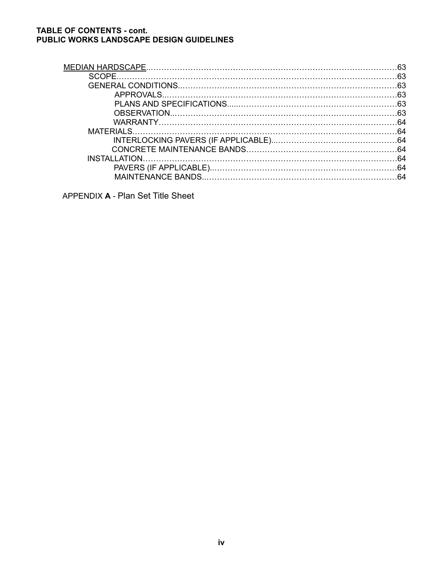# **TABLE OF CONTENTS - cont. PUBLIC WORKS LANDSCAPE DESIGN GUIDELINES**

| -63 |
|-----|
|     |
|     |
|     |
|     |
| 64  |
|     |
|     |
|     |

APPENDIX **A** - Plan Set Title Sheet